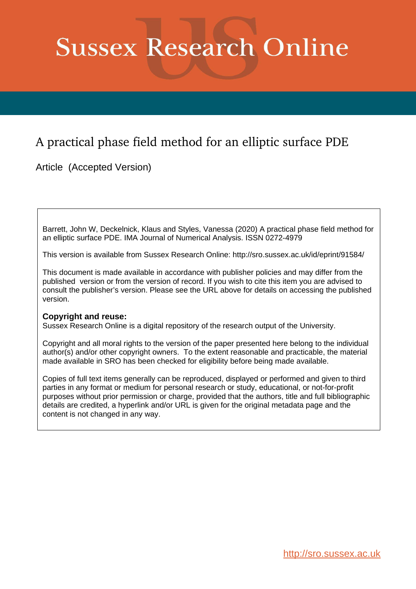# **Sussex Research Online**

# A practical phase field method for an elliptic surface PDE

Article (Accepted Version)

Barrett, John W, Deckelnick, Klaus and Styles, Vanessa (2020) A practical phase field method for an elliptic surface PDE. IMA Journal of Numerical Analysis. ISSN 0272-4979

This version is available from Sussex Research Online: http://sro.sussex.ac.uk/id/eprint/91584/

This document is made available in accordance with publisher policies and may differ from the published version or from the version of record. If you wish to cite this item you are advised to consult the publisher's version. Please see the URL above for details on accessing the published version.

# **Copyright and reuse:**

Sussex Research Online is a digital repository of the research output of the University.

Copyright and all moral rights to the version of the paper presented here belong to the individual author(s) and/or other copyright owners. To the extent reasonable and practicable, the material made available in SRO has been checked for eligibility before being made available.

Copies of full text items generally can be reproduced, displayed or performed and given to third parties in any format or medium for personal research or study, educational, or not-for-profit purposes without prior permission or charge, provided that the authors, title and full bibliographic details are credited, a hyperlink and/or URL is given for the original metadata page and the content is not changed in any way.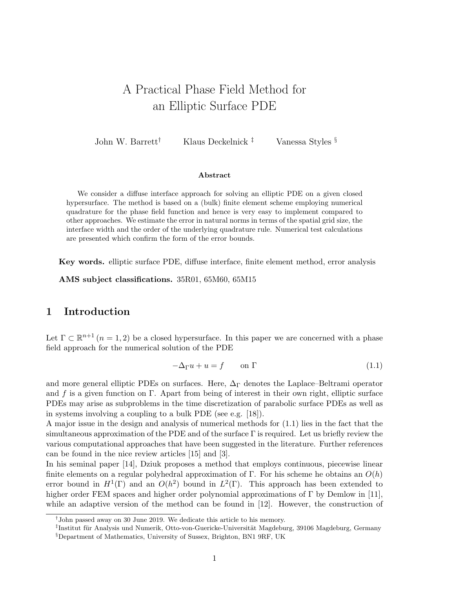# A Practical Phase Field Method for an Elliptic Surface PDE

John W. Barrett<sup>†</sup> Klaus Deckelnick <sup>‡</sup> Vanessa Styles §

#### Abstract

We consider a diffuse interface approach for solving an elliptic PDE on a given closed hypersurface. The method is based on a (bulk) finite element scheme employing numerical quadrature for the phase field function and hence is very easy to implement compared to other approaches. We estimate the error in natural norms in terms of the spatial grid size, the interface width and the order of the underlying quadrature rule. Numerical test calculations are presented which confirm the form of the error bounds.

Key words. elliptic surface PDE, diffuse interface, finite element method, error analysis

AMS subject classifications. 35R01, 65M60, 65M15

# 1 Introduction

Let  $\Gamma \subset \mathbb{R}^{n+1}$   $(n = 1, 2)$  be a closed hypersurface. In this paper we are concerned with a phase field approach for the numerical solution of the PDE

$$
-\Delta_{\Gamma} u + u = f \qquad \text{on } \Gamma \tag{1.1}
$$

and more general elliptic PDEs on surfaces. Here,  $\Delta_{\Gamma}$  denotes the Laplace–Beltrami operator and f is a given function on Γ. Apart from being of interest in their own right, elliptic surface PDEs may arise as subproblems in the time discretization of parabolic surface PDEs as well as in systems involving a coupling to a bulk PDE (see e.g. [18]).

A major issue in the design and analysis of numerical methods for (1.1) lies in the fact that the simultaneous approximation of the PDE and of the surface  $\Gamma$  is required. Let us briefly review the various computational approaches that have been suggested in the literature. Further references can be found in the nice review articles [15] and [3].

In his seminal paper [14], Dziuk proposes a method that employs continuous, piecewise linear finite elements on a regular polyhedral approximation of Γ. For his scheme he obtains an  $O(h)$ error bound in  $H^1(\Gamma)$  and an  $O(h^2)$  bound in  $L^2(\Gamma)$ . This approach has been extended to higher order FEM spaces and higher order polynomial approximations of Γ by Demlow in [11], while an adaptive version of the method can be found in [12]. However, the construction of

<sup>†</sup> John passed away on 30 June 2019. We dedicate this article to his memory.

<sup>&</sup>lt;sup>‡</sup>Institut für Analysis und Numerik, Otto-von-Guericke-Universität Magdeburg, 39106 Magdeburg, Germany

<sup>§</sup>Department of Mathematics, University of Sussex, Brighton, BN1 9RF, UK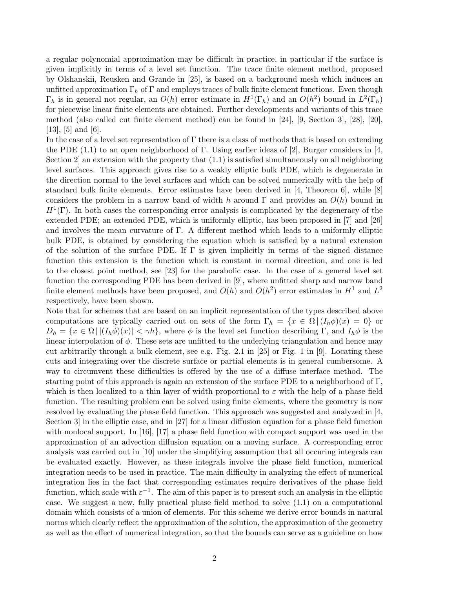a regular polynomial approximation may be difficult in practice, in particular if the surface is given implicitly in terms of a level set function. The trace finite element method, proposed by Olshanskii, Reusken and Grande in [25], is based on a background mesh which induces an unfitted approximation  $\Gamma_h$  of  $\Gamma$  and employs traces of bulk finite element functions. Even though  $\Gamma_h$  is in general not regular, an  $O(h)$  error estimate in  $H^1(\Gamma_h)$  and an  $O(h^2)$  bound in  $L^2(\Gamma_h)$ for piecewise linear finite elements are obtained. Further developments and variants of this trace method (also called cut finite element method) can be found in [24], [9, Section 3], [28], [20], [13], [5] and [6].

In the case of a level set representation of  $\Gamma$  there is a class of methods that is based on extending the PDE (1.1) to an open neighborhood of Γ. Using earlier ideas of [2], Burger considers in [4, Section 2 an extension with the property that  $(1.1)$  is satisfied simultaneously on all neighboring level surfaces. This approach gives rise to a weakly elliptic bulk PDE, which is degenerate in the direction normal to the level surfaces and which can be solved numerically with the help of standard bulk finite elements. Error estimates have been derived in [4, Theorem 6], while [8] considers the problem in a narrow band of width h around  $\Gamma$  and provides an  $O(h)$  bound in  $H<sup>1</sup>(\Gamma)$ . In both cases the corresponding error analysis is complicated by the degeneracy of the extended PDE; an extended PDE, which is uniformly elliptic, has been proposed in [7] and [26] and involves the mean curvature of  $\Gamma$ . A different method which leads to a uniformly elliptic bulk PDE, is obtained by considering the equation which is satisfied by a natural extension of the solution of the surface PDE. If  $\Gamma$  is given implicitly in terms of the signed distance function this extension is the function which is constant in normal direction, and one is led to the closest point method, see [23] for the parabolic case. In the case of a general level set function the corresponding PDE has been derived in [9], where unfitted sharp and narrow band finite element methods have been proposed, and  $O(h)$  and  $O(h^2)$  error estimates in  $H^1$  and  $L^2$ respectively, have been shown.

Note that for schemes that are based on an implicit representation of the types described above computations are typically carried out on sets of the form  $\Gamma_h = \{x \in \Omega \mid (I_h \phi)(x) = 0\}$  or  $D_h = \{x \in \Omega \, | \, |(I_h \phi)(x)| < \gamma h\}$ , where  $\phi$  is the level set function describing Γ, and  $I_h \phi$  is the linear interpolation of  $\phi$ . These sets are unfitted to the underlying triangulation and hence may cut arbitrarily through a bulk element, see e.g. Fig. 2.1 in [25] or Fig. 1 in [9]. Locating these cuts and integrating over the discrete surface or partial elements is in general cumbersome. A way to circumvent these difficulties is offered by the use of a diffuse interface method. The starting point of this approach is again an extension of the surface PDE to a neighborhood of  $\Gamma$ , which is then localized to a thin layer of width proportional to  $\varepsilon$  with the help of a phase field function. The resulting problem can be solved using finite elements, where the geometry is now resolved by evaluating the phase field function. This approach was suggested and analyzed in [4, Section 3] in the elliptic case, and in [27] for a linear diffusion equation for a phase field function with nonlocal support. In  $[16]$ ,  $[17]$  a phase field function with compact support was used in the approximation of an advection diffusion equation on a moving surface. A corresponding error analysis was carried out in [10] under the simplifying assumption that all occuring integrals can be evaluated exactly. However, as these integrals involve the phase field function, numerical integration needs to be used in practice. The main difficulty in analyzing the effect of numerical integration lies in the fact that corresponding estimates require derivatives of the phase field function, which scale with  $\varepsilon^{-1}$ . The aim of this paper is to present such an analysis in the elliptic case. We suggest a new, fully practical phase field method to solve (1.1) on a computational domain which consists of a union of elements. For this scheme we derive error bounds in natural norms which clearly reflect the approximation of the solution, the approximation of the geometry as well as the effect of numerical integration, so that the bounds can serve as a guideline on how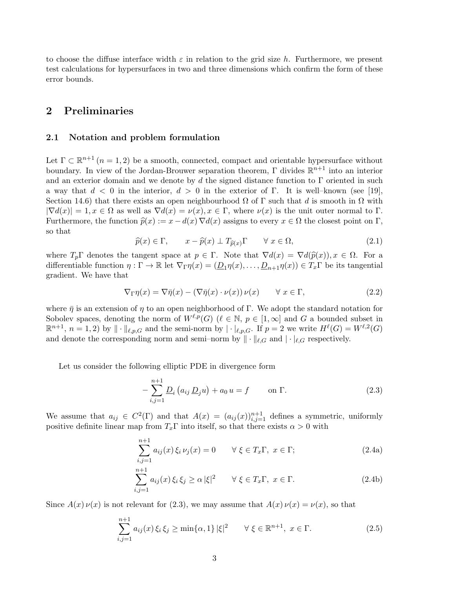to choose the diffuse interface width  $\varepsilon$  in relation to the grid size h. Furthermore, we present test calculations for hypersurfaces in two and three dimensions which confirm the form of these error bounds.

# 2 Preliminaries

#### 2.1 Notation and problem formulation

Let  $\Gamma \subset \mathbb{R}^{n+1}$   $(n = 1, 2)$  be a smooth, connected, compact and orientable hypersurface without boundary. In view of the Jordan-Brouwer separation theorem,  $\Gamma$  divides  $\mathbb{R}^{n+1}$  into an interior and an exterior domain and we denote by d the signed distance function to  $\Gamma$  oriented in such a way that  $d < 0$  in the interior,  $d > 0$  in the exterior of Γ. It is well-known (see [19], Section 14.6) that there exists an open neighbourhood  $\Omega$  of  $\Gamma$  such that d is smooth in  $\Omega$  with  $|\nabla d(x)| = 1, x \in \Omega$  as well as  $\nabla d(x) = \nu(x), x \in \Gamma$ , where  $\nu(x)$  is the unit outer normal to  $\Gamma$ . Furthermore, the function  $\widehat{p}(x) := x - d(x) \nabla d(x)$  assigns to every  $x \in \Omega$  the closest point on  $\Gamma$ , so that

$$
\widehat{p}(x) \in \Gamma, \qquad x - \widehat{p}(x) \perp T_{\widehat{p}(x)} \Gamma \qquad \forall \ x \in \Omega,
$$
\n(2.1)

where  $T_p\Gamma$  denotes the tangent space at  $p \in \Gamma$ . Note that  $\nabla d(x) = \nabla d(\hat{p}(x)), x \in \Omega$ . For a differentiable function  $\eta : \Gamma \to \mathbb{R}$  let  $\nabla_{\Gamma} \eta(x) = (\underline{D}_1 \eta(x), \dots, \underline{D}_{n+1} \eta(x)) \in T_x \Gamma$  be its tangential gradient. We have that

$$
\nabla_{\Gamma}\eta(x) = \nabla\bar{\eta}(x) - (\nabla\bar{\eta}(x)\cdot\nu(x))\nu(x) \qquad \forall x \in \Gamma,
$$
\n(2.2)

where  $\bar{\eta}$  is an extension of  $\eta$  to an open neighborhood of Γ. We adopt the standard notation for Sobolev spaces, denoting the norm of  $W^{\ell,p}(G)$  ( $\ell \in \mathbb{N}$ ,  $p \in [1,\infty]$  and G a bounded subset in  $\mathbb{R}^{n+1}$ ,  $n = 1, 2$  by  $\|\cdot\|_{\ell,p,G}$  and the semi-norm by  $|\cdot|_{\ell,p,G}$ . If  $p = 2$  we write  $H^{\ell}(G) = W^{\ell,2}(G)$ and denote the corresponding norm and semi–norm by  $\|\cdot\|_{\ell,G}$  and  $|\cdot|_{\ell,G}$  respectively.

Let us consider the following elliptic PDE in divergence form

$$
-\sum_{i,j=1}^{n+1} \underline{D}_i (a_{ij} \underline{D}_j u) + a_0 u = f \qquad \text{on } \Gamma.
$$
 (2.3)

We assume that  $a_{ij} \in C^2(\Gamma)$  and that  $A(x) = (a_{ij}(x))_{i,j=1}^{n+1}$  defines a symmetric, uniformly positive definite linear map from  $T_x\Gamma$  into itself, so that there exists  $\alpha > 0$  with

$$
\sum_{i,j=1}^{n+1} a_{ij}(x)\,\xi_i\,\nu_j(x) = 0 \qquad \forall \xi \in T_x\Gamma, \ x \in \Gamma; \tag{2.4a}
$$

$$
\sum_{i,j=1}^{n+1} a_{ij}(x)\,\xi_i\,\xi_j \ge \alpha\,|\xi|^2 \qquad \forall\,\xi \in T_x\Gamma,\ x \in \Gamma. \tag{2.4b}
$$

Since  $A(x) \nu(x)$  is not relevant for (2.3), we may assume that  $A(x) \nu(x) = \nu(x)$ , so that

$$
\sum_{i,j=1}^{n+1} a_{ij}(x) \xi_i \xi_j \ge \min\{\alpha, 1\} |\xi|^2 \qquad \forall \xi \in \mathbb{R}^{n+1}, \ x \in \Gamma.
$$
 (2.5)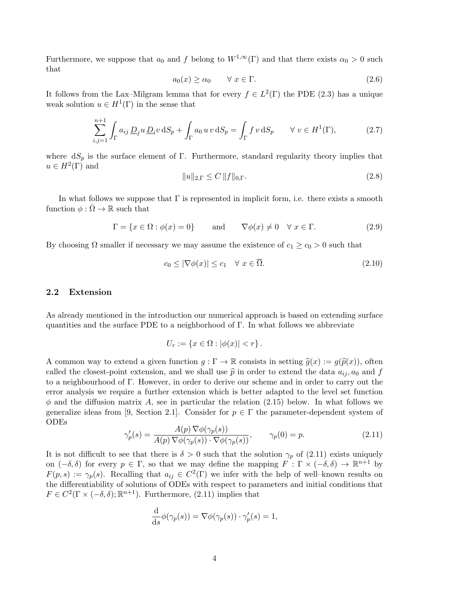Furthermore, we suppose that  $a_0$  and f belong to  $W^{1,\infty}(\Gamma)$  and that there exists  $\alpha_0 > 0$  such that

$$
a_0(x) \ge \alpha_0 \qquad \forall \ x \in \Gamma. \tag{2.6}
$$

It follows from the Lax–Milgram lemma that for every  $f \in L^2(\Gamma)$  the PDE (2.3) has a unique weak solution  $u \in H^1(\Gamma)$  in the sense that

$$
\sum_{i,j=1}^{n+1} \int_{\Gamma} a_{ij} \underline{D}_j u \underline{D}_i v \, dS_p + \int_{\Gamma} a_0 u v \, dS_p = \int_{\Gamma} f v \, dS_p \qquad \forall \ v \in H^1(\Gamma), \tag{2.7}
$$

where  $dS_p$  is the surface element of Γ. Furthermore, standard regularity theory implies that  $u \in H^2(\Gamma)$  and

$$
||u||_{2,\Gamma} \le C ||f||_{0,\Gamma}.
$$
\n(2.8)

In what follows we suppose that  $\Gamma$  is represented in implicit form, i.e. there exists a smooth function  $\phi : \overline{\Omega} \to \mathbb{R}$  such that

$$
\Gamma = \{x \in \Omega : \phi(x) = 0\} \quad \text{and} \quad \nabla \phi(x) \neq 0 \quad \forall \ x \in \Gamma. \tag{2.9}
$$

By choosing  $\Omega$  smaller if necessary we may assume the existence of  $c_1 \geq c_0 > 0$  such that

$$
c_0 \le |\nabla \phi(x)| \le c_1 \quad \forall \ x \in \overline{\Omega}.\tag{2.10}
$$

#### 2.2 Extension

As already mentioned in the introduction our numerical approach is based on extending surface quantities and the surface PDE to a neighborhood of Γ. In what follows we abbreviate

$$
U_r := \{ x \in \Omega : |\phi(x)| < r \} \, .
$$

A common way to extend a given function  $g : \Gamma \to \mathbb{R}$  consists in setting  $\hat{g}(x) := g(\hat{p}(x))$ , often called the closest-point extension, and we shall use  $\hat{p}$  in order to extend the data  $a_{ij}$ ,  $a_0$  and f to a neighbourhood of Γ. However, in order to derive our scheme and in order to carry out the error analysis we require a further extension which is better adapted to the level set function  $\phi$  and the diffusion matrix A, see in particular the relation (2.15) below. In what follows we generalize ideas from [9, Section 2.1]. Consider for  $p \in \Gamma$  the parameter-dependent system of ODEs

$$
\gamma_p'(s) = \frac{A(p) \nabla \phi(\gamma_p(s))}{A(p) \nabla \phi(\gamma_p(s)) \cdot \nabla \phi(\gamma_p(s))}, \qquad \gamma_p(0) = p. \tag{2.11}
$$

It is not difficult to see that there is  $\delta > 0$  such that the solution  $\gamma_p$  of (2.11) exists uniquely on  $(-\delta, \delta)$  for every  $p \in \Gamma$ , so that we may define the mapping  $F : \Gamma \times (-\delta, \delta) \to \mathbb{R}^{n+1}$  by  $F(p,s) := \gamma_p(s)$ . Recalling that  $a_{ij} \in C^2(\Gamma)$  we infer with the help of well-known results on the differentiability of solutions of ODEs with respect to parameters and initial conditions that  $F \in C^2(\Gamma \times (-\delta, \delta); \mathbb{R}^{n+1})$ . Furthermore, (2.11) implies that

$$
\frac{\mathrm{d}}{\mathrm{d}s}\phi(\gamma_p(s)) = \nabla\phi(\gamma_p(s)) \cdot \gamma_p'(s) = 1,
$$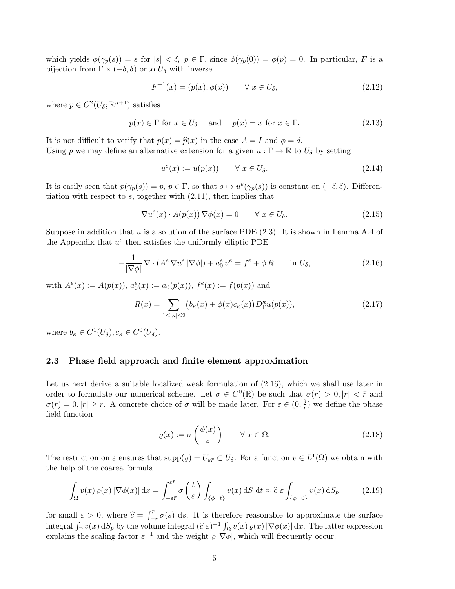which yields  $\phi(\gamma_p(s)) = s$  for  $|s| < \delta$ ,  $p \in \Gamma$ , since  $\phi(\gamma_p(0)) = \phi(p) = 0$ . In particular, F is a bijection from  $\Gamma \times (-\delta, \delta)$  onto  $U_{\delta}$  with inverse

$$
F^{-1}(x) = (p(x), \phi(x)) \qquad \forall \ x \in U_{\delta}, \tag{2.12}
$$

where  $p \in C^2(U_\delta; \mathbb{R}^{n+1})$  satisfies

$$
p(x) \in \Gamma \text{ for } x \in U_{\delta} \quad \text{ and } \quad p(x) = x \text{ for } x \in \Gamma. \tag{2.13}
$$

It is not difficult to verify that  $p(x) = \hat{p}(x)$  in the case  $A = I$  and  $\phi = d$ . Using p we may define an alternative extension for a given  $u : \Gamma \to \mathbb{R}$  to  $U_{\delta}$  by setting

$$
u^{e}(x) := u(p(x)) \qquad \forall \ x \in U_{\delta}.
$$
\n(2.14)

It is easily seen that  $p(\gamma_p(s)) = p, p \in \Gamma$ , so that  $s \mapsto u^e(\gamma_p(s))$  is constant on  $(-\delta, \delta)$ . Differentiation with respect to  $s$ , together with  $(2.11)$ , then implies that

$$
\nabla u^e(x) \cdot A(p(x)) \nabla \phi(x) = 0 \qquad \forall \ x \in U_\delta. \tag{2.15}
$$

Suppose in addition that u is a solution of the surface PDE  $(2.3)$ . It is shown in Lemma A.4 of the Appendix that  $u^e$  then satisfies the uniformly elliptic PDE

$$
-\frac{1}{|\nabla \phi|} \nabla \cdot (A^e \nabla u^e | \nabla \phi|) + a_0^e u^e = f^e + \phi R \quad \text{in } U_\delta,
$$
\n(2.16)

with  $A^{e}(x) := A(p(x)), a_0^{e}(x) := a_0(p(x)), f^{e}(x) := f(p(x))$  and

$$
R(x) = \sum_{1 \le |\kappa| \le 2} \left( b_{\kappa}(x) + \phi(x)c_{\kappa}(x) \right) D_{\Gamma}^{\kappa} u(p(x)),\tag{2.17}
$$

where  $b_{\kappa} \in C^1(U_{\delta}), c_{\kappa} \in C^0(U_{\delta}).$ 

### 2.3 Phase field approach and finite element approximation

Let us next derive a suitable localized weak formulation of  $(2.16)$ , which we shall use later in order to formulate our numerical scheme. Let  $\sigma \in C^0(\mathbb{R})$  be such that  $\sigma(r) > 0, |r| < \bar{r}$  and  $\sigma(r) = 0, |r| \geq \bar{r}$ . A concrete choice of  $\sigma$  will be made later. For  $\varepsilon \in (0, \frac{\delta}{\bar{r}})$  $\frac{\delta}{r}$ ) we define the phase field function

$$
\varrho(x) := \sigma\left(\frac{\phi(x)}{\varepsilon}\right) \qquad \forall \ x \in \Omega.
$$
\n(2.18)

The restriction on  $\varepsilon$  ensures that  $\text{supp}(\varrho) = \overline{U_{\varepsilon r}} \subset U_{\delta}$ . For a function  $v \in L^1(\Omega)$  we obtain with the help of the coarea formula

$$
\int_{\Omega} v(x) \, \varrho(x) \left| \nabla \phi(x) \right| \mathrm{d}x = \int_{-\varepsilon \bar{r}}^{\varepsilon \bar{r}} \sigma\left(\frac{t}{\varepsilon}\right) \int_{\{\phi = t\}} v(x) \, \mathrm{d}S \, \mathrm{d}t \approx \hat{c} \, \varepsilon \int_{\{\phi = 0\}} v(x) \, \mathrm{d}S_p \tag{2.19}
$$

for small  $\varepsilon > 0$ , where  $\hat{c} = \int_{-\bar{r}}^{\bar{r}} \sigma(s) ds$ . It is therefore reasonable to approximate the surface integral  $\int_{\Gamma} v(x) dS_p$  by the volume integral  $(\hat{c} \epsilon)^{-1} \int_{\Omega} v(x) \varrho(x) |\nabla \phi(x)| dx$ . The latter expression explains the scaling factor  $\epsilon^{-1}$  and the weight  $\epsilon |\nabla \phi|$  which will frequently equivalent explains the scaling factor  $\varepsilon^{-1}$  and the weight  $\varrho | \nabla \phi |$ , which will frequently occur.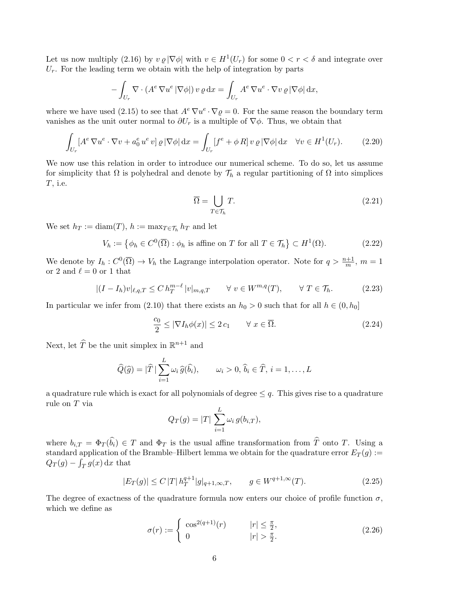Let us now multiply (2.16) by  $v \varrho |\nabla \phi|$  with  $v \in H^1(U_r)$  for some  $0 < r < \delta$  and integrate over  $U_r$ . For the leading term we obtain with the help of integration by parts

$$
- \int_{U_r} \nabla \cdot (A^e \nabla u^e | \nabla \phi|) v \varrho dx = \int_{U_r} A^e \nabla u^e \cdot \nabla v \varrho | \nabla \phi| dx,
$$

where we have used (2.15) to see that  $A^e \nabla u^e \cdot \nabla \rho = 0$ . For the same reason the boundary term vanishes as the unit outer normal to  $\partial U_r$  is a multiple of  $\nabla \phi$ . Thus, we obtain that

$$
\int_{U_r} [A^e \nabla u^e \cdot \nabla v + a_0^e u^e v] \varrho |\nabla \phi| dx = \int_{U_r} [f^e + \phi R] v \varrho |\nabla \phi| dx \quad \forall v \in H^1(U_r). \tag{2.20}
$$

We now use this relation in order to introduce our numerical scheme. To do so, let us assume for simplicity that  $\Omega$  is polyhedral and denote by  $\mathcal{T}_h$  a regular partitioning of  $\Omega$  into simplices T, i.e.

$$
\overline{\Omega} = \bigcup_{T \in \mathcal{T}_h} T. \tag{2.21}
$$

We set  $h_T := \text{diam}(T)$ ,  $h := \max_{T \in \mathcal{T}_h} h_T$  and let

$$
V_h := \left\{ \phi_h \in C^0(\overline{\Omega}) : \phi_h \text{ is affine on } T \text{ for all } T \in \mathcal{T}_h \right\} \subset H^1(\Omega). \tag{2.22}
$$

We denote by  $I_h: C^0(\overline{\Omega}) \to V_h$  the Lagrange interpolation operator. Note for  $q > \frac{n+1}{m}$ ,  $m = 1$ or 2 and  $\ell = 0$  or 1 that

$$
|(I - I_h)v|_{\ell, q, T} \le C h_T^{m-\ell} |v|_{m,q,T} \qquad \forall v \in W^{m,q}(T), \qquad \forall T \in \mathcal{T}_h.
$$
 (2.23)

In particular we infer from (2.10) that there exists an  $h_0 > 0$  such that for all  $h \in (0, h_0]$ 

$$
\frac{c_0}{2} \le |\nabla I_h \phi(x)| \le 2 c_1 \qquad \forall \ x \in \overline{\Omega}.\tag{2.24}
$$

Next, let  $\widehat{T}$  be the unit simplex in  $\mathbb{R}^{n+1}$  and

$$
\widehat{Q}(\widehat{g}) = |\widehat{T}| \sum_{i=1}^{L} \omega_i \widehat{g}(\widehat{b}_i), \qquad \omega_i > 0, \ \widehat{b}_i \in \widehat{T}, \ i = 1, \dots, L
$$

a quadrature rule which is exact for all polynomials of degree  $\leq q$ . This gives rise to a quadrature rule on T via

$$
Q_T(g) = |T| \sum_{i=1}^{L} \omega_i g(b_{i,T}),
$$

where  $b_{i,T} = \Phi_T(\widehat{b}_i) \in T$  and  $\Phi_T$  is the usual affine transformation from  $\widehat{T}$  onto T. Using a standard application of the Bramble–Hilbert lemma we obtain for the quadrature error  $E_T(g) :=$  $Q_T(g) - \int_T g(x) dx$  that

$$
|E_T(g)| \le C |T| \, h_T^{q+1} |g|_{q+1,\infty,T}, \qquad g \in W^{q+1,\infty}(T). \tag{2.25}
$$

The degree of exactness of the quadrature formula now enters our choice of profile function  $\sigma$ , which we define as

$$
\sigma(r) := \begin{cases} \cos^{2(q+1)}(r) & |r| \le \frac{\pi}{2}, \\ 0 & |r| > \frac{\pi}{2}. \end{cases}
$$
 (2.26)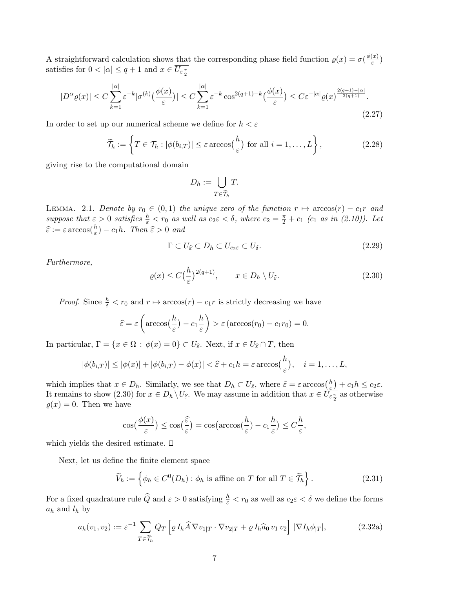A straightforward calculation shows that the corresponding phase field function  $\rho(x) = \sigma(\frac{\phi(x)}{\varepsilon})$  $\frac{x_1}{\varepsilon})$ satisfies for  $0 < |\alpha| \le q+1$  and  $x \in U_{\varepsilon \frac{\pi}{2}}$ 

$$
|D^{\alpha}\varrho(x)| \le C \sum_{k=1}^{|\alpha|} \varepsilon^{-k} |\sigma^{(k)}(\frac{\phi(x)}{\varepsilon})| \le C \sum_{k=1}^{|\alpha|} \varepsilon^{-k} \cos^{2(q+1)-k}(\frac{\phi(x)}{\varepsilon}) \le C \varepsilon^{-|\alpha|} \varrho(x)^{\frac{2(q+1)-|\alpha|}{2(q+1)}}.
$$
\n(2.27)

In order to set up our numerical scheme we define for  $h < \varepsilon$ 

$$
\widetilde{\mathcal{T}}_h := \left\{ T \in \mathcal{T}_h : |\phi(b_{i,T})| \le \varepsilon \arccos\left(\frac{h}{\varepsilon}\right) \text{ for all } i = 1,\dots, L \right\},\tag{2.28}
$$

giving rise to the computational domain

$$
D_h := \bigcup_{T \in \widetilde{\mathcal{T}}_h} T.
$$

LEMMA. 2.1. Denote by  $r_0 \in (0,1)$  the unique zero of the function  $r \mapsto \arccos(r) - c_1r$  and suppose that  $\varepsilon > 0$  satisfies  $\frac{h}{\varepsilon} < r_0$  as well as  $c_2 \varepsilon < \delta$ , where  $c_2 = \frac{\pi}{2} + c_1$  ( $c_1$  as in (2.10)). Let  $\widehat{\varepsilon} := \varepsilon \arccos(\frac{h}{\varepsilon}) - c_1h$ . Then  $\widehat{\varepsilon} > 0$  and

$$
\Gamma \subset U_{\widehat{\varepsilon}} \subset D_h \subset U_{c_2\varepsilon} \subset U_{\delta}.\tag{2.29}
$$

,

Furthermore,

$$
\varrho(x) \le C \left(\frac{h}{\varepsilon}\right)^{2(q+1)}, \qquad x \in D_h \setminus U_{\hat{\varepsilon}}.\tag{2.30}
$$

*Proof.* Since  $\frac{h}{\varepsilon} < r_0$  and  $r \mapsto \arccos(r) - c_1r$  is strictly decreasing we have

$$
\widehat{\varepsilon} = \varepsilon \left( \arccos\left(\frac{h}{\varepsilon}\right) - c_1 \frac{h}{\varepsilon} \right) > \varepsilon \left( \arccos(r_0) - c_1 r_0 \right) = 0.
$$

In particular,  $\Gamma = \{x \in \Omega : \phi(x) = 0\} \subset U_{\hat{\varepsilon}}$ . Next, if  $x \in U_{\hat{\varepsilon}} \cap T$ , then

$$
|\phi(b_{i,T})| \leq |\phi(x)| + |\phi(b_{i,T}) - \phi(x)| < \hat{\varepsilon} + c_1 h = \varepsilon \arccos(\frac{h}{\varepsilon}), \quad i = 1, \dots, L,
$$

which implies that  $x \in D_h$ . Similarly, we see that  $D_h \subset U_{\tilde{\varepsilon}}$ , where  $\tilde{\varepsilon} = \varepsilon \arccos\left(\frac{h}{\varepsilon}\right)$  $\frac{h}{\varepsilon}$  +  $c_1 h \leq c_2 \varepsilon$ . It remains to show (2.30) for  $x \in D_h \setminus U_{\hat{\varepsilon}}$ . We may assume in addition that  $x \in U_{\varepsilon \frac{\pi}{2}}$  as otherwise  $\varrho(x) = 0$ . Then we have

$$
\cos\left(\frac{\phi(x)}{\varepsilon}\right) \le \cos\left(\frac{\widehat{\varepsilon}}{\varepsilon}\right) = \cos\left(\arccos\left(\frac{h}{\varepsilon}\right) - c_1\frac{h}{\varepsilon}\right) \le C\frac{h}{\varepsilon}
$$

which yields the desired estimate.  $\square$ 

Next, let us define the finite element space

$$
\widetilde{V}_h := \left\{ \phi_h \in C^0(D_h) : \phi_h \text{ is affine on } T \text{ for all } T \in \widetilde{\mathcal{T}}_h \right\}. \tag{2.31}
$$

For a fixed quadrature rule  $\widehat{Q}$  and  $\varepsilon > 0$  satisfying  $\frac{h}{\varepsilon} < r_0$  as well as  $c_2 \varepsilon < \delta$  we define the forms  $a_h$  and  $l_h$  by

$$
a_h(v_1, v_2) := \varepsilon^{-1} \sum_{T \in \widetilde{\mathcal{T}}_h} Q_T \left[ \varrho I_h \widehat{A} \nabla v_{1|T} \cdot \nabla v_{2|T} + \varrho I_h \widehat{a}_0 v_1 v_2 \right] |\nabla I_h \phi_{|T}|, \tag{2.32a}
$$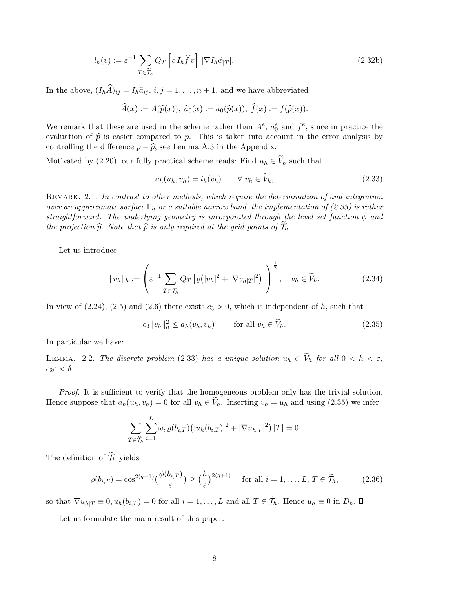$$
l_h(v) := \varepsilon^{-1} \sum_{T \in \widetilde{\mathcal{T}}_h} Q_T \left[ \varrho \, I_h \widehat{f} \, v \right] \, |\nabla I_h \phi_{|T}|. \tag{2.32b}
$$

In the above,  $(I_h\widehat{A})_{ij} = I_h\widehat{a}_{ij}, i, j = 1, \ldots, n + 1$ , and we have abbreviated

$$
\widehat{A}(x) := A(\widehat{p}(x)), \ \widehat{a}_0(x) := a_0(\widehat{p}(x)), \ \widehat{f}(x) := f(\widehat{p}(x)).
$$

We remark that these are used in the scheme rather than  $A^e$ ,  $a_0^e$  and  $f^e$ , since in practice the evaluation of  $\hat{p}$  is easier compared to p. This is taken into account in the error analysis by controlling the difference  $p - \hat{p}$ , see Lemma A.3 in the Appendix.

Motivated by (2.20), our fully practical scheme reads: Find  $u_h \in V_h$  such that

$$
a_h(u_h, v_h) = l_h(v_h) \qquad \forall \ v_h \in V_h,
$$
\n
$$
(2.33)
$$

REMARK. 2.1. In contrast to other methods, which require the determination of and integration over an approximate surface  $\Gamma_h$  or a suitable narrow band, the implementation of (2.33) is rather straightforward. The underlying geometry is incorporated through the level set function  $\phi$  and the projection  $\hat{p}$ . Note that  $\hat{p}$  is only required at the grid points of  $\mathcal{T}_h$ .

Let us introduce

$$
||v_h||_h := \left(\varepsilon^{-1} \sum_{T \in \widetilde{\mathcal{T}}_h} Q_T \left[\varrho(|v_h|^2 + |\nabla v_{h|T}|^2)\right]\right)^{\frac{1}{2}}, \quad v_h \in \widetilde{V}_h. \tag{2.34}
$$

In view of  $(2.24)$ ,  $(2.5)$  and  $(2.6)$  there exists  $c_3 > 0$ , which is independent of h, such that

$$
c_3 \|v_h\|_h^2 \le a_h(v_h, v_h) \qquad \text{for all } v_h \in \widetilde{V}_h. \tag{2.35}
$$

In particular we have:

LEMMA. 2.2. The discrete problem (2.33) has a unique solution  $u_h \in V_h$  for all  $0 < h < \varepsilon$ ,  $c_2\varepsilon < \delta$ .

Proof. It is sufficient to verify that the homogeneous problem only has the trivial solution. Hence suppose that  $a_h(u_h, v_h) = 0$  for all  $v_h \in V_h$ . Inserting  $v_h = u_h$  and using (2.35) we infer

$$
\sum_{T \in \widetilde{\mathcal{T}}_h} \sum_{i=1}^L \omega_i \, \varrho(b_{i,T}) \big( |u_h(b_{i,T})|^2 + |\nabla u_{h|T}|^2 \big) \, |T| = 0.
$$

The definition of  $\widetilde{\mathcal{T}}_h$  yields

$$
\varrho(b_{i,T}) = \cos^{2(q+1)}\left(\frac{\phi(b_{i,T})}{\varepsilon}\right) \ge \left(\frac{h}{\varepsilon}\right)^{2(q+1)} \quad \text{for all } i = 1,\dots, L, T \in \widetilde{\mathcal{T}}_h,
$$
 (2.36)

so that  $\nabla u_{h|T} \equiv 0, u_h(b_{i,T}) = 0$  for all  $i = 1, ..., L$  and all  $T \in \widetilde{\mathcal{T}}_h$ . Hence  $u_h \equiv 0$  in  $D_h$ .  $\Box$ 

Let us formulate the main result of this paper.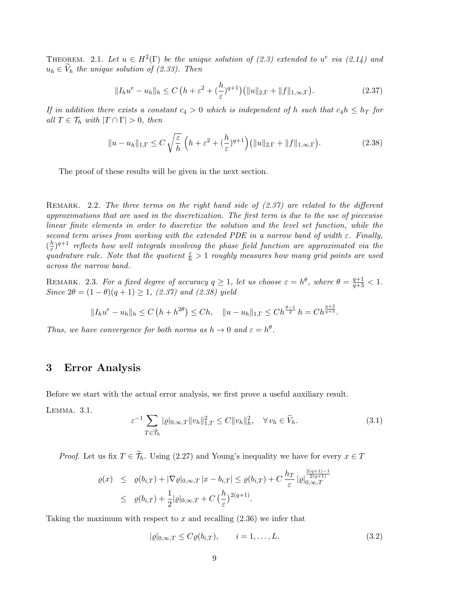THEOREM. 2.1. Let  $u \in H^2(\Gamma)$  be the unique solution of (2.3) extended to  $u^e$  via (2.14) and  $u_h \in V_h$  the unique solution of (2.33). Then

$$
||I_h u^e - u_h||_h \le C \left( h + \varepsilon^2 + \left( \frac{h}{\varepsilon} \right)^{q+1} \right) \left( ||u||_{2,\Gamma} + ||f||_{1,\infty,\Gamma} \right). \tag{2.37}
$$

If in addition there exists a constant  $c_4 > 0$  which is independent of h such that  $c_4 h \leq h_T$  for all  $T \in \mathcal{T}_h$  with  $|T \cap \Gamma| > 0$ , then

$$
||u - u_h||_{1,\Gamma} \le C \sqrt{\frac{\varepsilon}{h}} \left( h + \varepsilon^2 + \left( \frac{h}{\varepsilon} \right)^{q+1} \right) \left( ||u||_{2,\Gamma} + ||f||_{1,\infty,\Gamma} \right). \tag{2.38}
$$

The proof of these results will be given in the next section.

REMARK. 2.2. The three terms on the right hand side of  $(2.37)$  are related to the different approximations that are used in the discretization. The first term is due to the use of piecewise linear finite elements in order to discretize the solution and the level set function, while the second term arises from working with the extended PDE in a narrow band of width  $\varepsilon$ . Finally,  $\left(\frac{h}{\epsilon}\right)$  $\frac{h}{\varepsilon})^{q+1}$  reflects how well integrals involving the phase field function are approximated via the quadrature rule. Note that the quotient  $\frac{\varepsilon}{h} > 1$  roughly measures how many grid points are used across the narrow band.

REMARK. 2.3. For a fixed degree of accuracy  $q \ge 1$ , let us choose  $\varepsilon = h^{\theta}$ , where  $\theta = \frac{q+1}{q+3} < 1$ . Since  $2\theta = (1 - \theta)(q + 1) \ge 1$ , (2.37) and (2.38) yield

$$
||I_h u^e - u_h||_h \le C\left(h + h^{2\theta}\right) \le Ch, \quad ||u - u_h||_{1,\Gamma} \le Ch^{\frac{\theta-1}{2}}h = Ch^{\frac{q+2}{q+3}}.
$$

Thus, we have convergence for both norms as  $h \to 0$  and  $\varepsilon = h^{\theta}$ .

# 3 Error Analysis

Before we start with the actual error analysis, we first prove a useful auxiliary result.

Lemma. 3.1.

$$
\varepsilon^{-1} \sum_{T \in \widetilde{\mathcal{T}}_h} |\varrho|_{0,\infty,T} \|v_h\|_{1,T}^2 \le C \|v_h\|_h^2, \quad \forall \, v_h \in \widetilde{V}_h. \tag{3.1}
$$

*Proof.* Let us fix  $T \in \widetilde{\mathcal{T}}_h$ . Using (2.27) and Young's inequality we have for every  $x \in T$ 

$$
\varrho(x) \leq \varrho(b_{i,T}) + |\nabla \varrho|_{0,\infty,T} |x - b_{i,T}| \leq \varrho(b_{i,T}) + C \frac{h_T}{\varepsilon} |\varrho|_{0,\infty,T}^{\frac{2(q+1)-1}{2(q+1)}}
$$
  

$$
\leq \varrho(b_{i,T}) + \frac{1}{2} |\varrho|_{0,\infty,T} + C \left(\frac{h}{\varepsilon}\right)^{2(q+1)}.
$$

Taking the maximum with respect to x and recalling  $(2.36)$  we infer that

$$
|\varrho|_{0,\infty,T} \le C\varrho(b_{i,T}), \qquad i = 1,\dots,L. \tag{3.2}
$$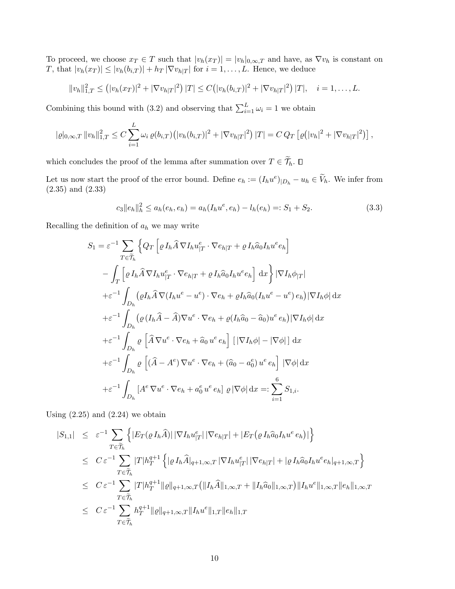To proceed, we choose  $x_T \in T$  such that  $|v_h(x_T)| = |v_h|_{0,\infty,T}$  and have, as  $\nabla v_h$  is constant on T, that  $|v_h(x_T)| \leq |v_h(b_{i,T})| + h_T |\nabla v_{h|T}|$  for  $i = 1, \ldots, L$ . Hence, we deduce

$$
||v_h||_{1,T}^2 \le (|v_h(x_T)|^2 + |\nabla v_{h|T}|^2) |T| \le C (|v_h(b_{i,T})|^2 + |\nabla v_{h|T}|^2) |T|, \quad i = 1,\ldots,L.
$$

Combining this bound with (3.2) and observing that  $\sum_{i=1}^{L} \omega_i = 1$  we obtain

$$
|\varrho|_{0,\infty,T} ||v_h||_{1,T}^2 \leq C \sum_{i=1}^L \omega_i \,\varrho(b_{i,T}) \big( |v_h(b_{i,T})|^2 + |\nabla v_{h|T}|^2 \big) \, |T| = C \, Q_T \left[ \varrho\big( |v_h|^2 + |\nabla v_{h|T}|^2 \big) \right],
$$

which concludes the proof of the lemma after summation over  $T \in \widetilde{\mathcal{T}}_h.$   $\Box$ 

Let us now start the proof of the error bound. Define  $e_h := (I_h u^e)_{|D_h} - u_h \in V_h$ . We infer from (2.35) and (2.33)

$$
c_3 \|e_h\|_h^2 \le a_h(e_h, e_h) = a_h(I_h u^e, e_h) - l_h(e_h) =: S_1 + S_2. \tag{3.3}
$$

Recalling the definition of  $a_h$  we may write

$$
S_{1} = \varepsilon^{-1} \sum_{T \in \widetilde{\mathcal{T}}_{h}} \left\{ Q_{T} \left[ \varrho I_{h} \widehat{A} \nabla I_{h} u_{|T}^{e} \cdot \nabla e_{h|T} + \varrho I_{h} \widehat{a}_{0} I_{h} u^{e} e_{h} \right] \right\}
$$

$$
- \int_{T} \left[ \varrho I_{h} \widehat{A} \nabla I_{h} u_{|T}^{e} \cdot \nabla e_{h|T} + \varrho I_{h} \widehat{a}_{0} I_{h} u^{e} e_{h} \right] dx \right\} |\nabla I_{h} \phi_{|T}|
$$

$$
+ \varepsilon^{-1} \int_{D_{h}} (\varrho I_{h} \widehat{A} \nabla (I_{h} u^{e} - u^{e}) \cdot \nabla e_{h} + \varrho I_{h} \widehat{a}_{0} (I_{h} u^{e} - u^{e}) e_{h}) |\nabla I_{h} \phi| dx
$$

$$
+ \varepsilon^{-1} \int_{D_{h}} (\varrho (I_{h} \widehat{A} - \widehat{A}) \nabla u^{e} \cdot \nabla e_{h} + \varrho (I_{h} \widehat{a}_{0} - \widehat{a}_{0}) u^{e} e_{h}) |\nabla I_{h} \phi| dx
$$

$$
+ \varepsilon^{-1} \int_{D_{h}} \varrho \left[ \widehat{A} \nabla u^{e} \cdot \nabla e_{h} + \widehat{a}_{0} u^{e} e_{h} \right] [|\nabla I_{h} \phi| - |\nabla \phi|] dx
$$

$$
+ \varepsilon^{-1} \int_{D_{h}} \varrho \left[ (\widehat{A} - A^{e}) \nabla u^{e} \cdot \nabla e_{h} + (\widehat{a}_{0} - a_{0}^{e}) u^{e} e_{h} \right] |\nabla \phi| dx
$$

$$
+ \varepsilon^{-1} \int_{D_{h}} [A^{e} \nabla u^{e} \cdot \nabla e_{h} + a_{0}^{e} u^{e} e_{h}] \varrho |\nabla \phi| dx =: \sum_{i=1}^{6} S_{1,i}.
$$

Using  $(2.25)$  and  $(2.24)$  we obtain

$$
|S_{1,1}| \leq \varepsilon^{-1} \sum_{T \in \widetilde{\mathcal{T}}_h} \left\{ |E_T(\varrho I_h \widehat{A})| \, |\nabla I_h u_{|T}^e| \, |\nabla e_{h|T}| + |E_T(\varrho I_h \widehat{a}_0 I_h u^e e_h)| \right\}
$$
  
\n
$$
\leq C \varepsilon^{-1} \sum_{T \in \widetilde{\mathcal{T}}_h} |T| h_T^{q+1} \left\{ |\varrho I_h \widehat{A}|_{q+1,\infty,T} |\nabla I_h u_{|T}^e| \, |\nabla e_{h|T}| + |\varrho I_h \widehat{a}_0 I_h u^e e_h|_{q+1,\infty,T} \right\}
$$
  
\n
$$
\leq C \varepsilon^{-1} \sum_{T \in \widetilde{\mathcal{T}}_h} |T| h_T^{q+1} ||\varrho||_{q+1,\infty,T} (||I_h \widehat{A}||_{1,\infty,T} + ||I_h \widehat{a}_0||_{1,\infty,T}) ||I_h u^e||_{1,\infty,T} ||e_h||_{1,\infty,T}
$$
  
\n
$$
\leq C \varepsilon^{-1} \sum_{T \in \widetilde{\mathcal{T}}_h} h_T^{q+1} ||\varrho||_{q+1,\infty,T} ||I_h u^e||_{1,T} ||e_h||_{1,T}
$$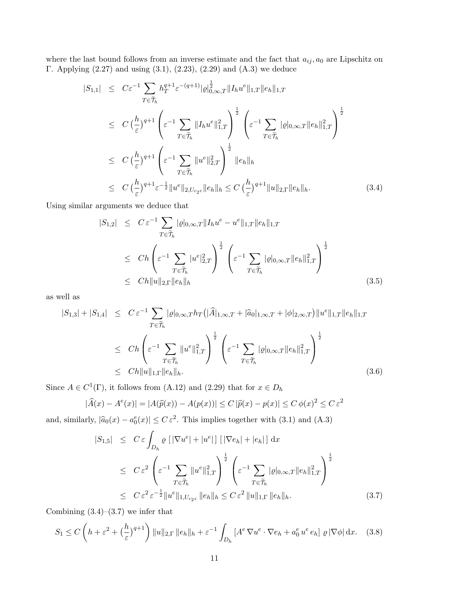where the last bound follows from an inverse estimate and the fact that  $a_{ij}, a_0$  are Lipschitz on Γ. Applying (2.27) and using (3.1), (2.23), (2.29) and (A.3) we deduce

$$
|S_{1,1}| \leq C\varepsilon^{-1} \sum_{T \in \widetilde{\mathcal{T}}_h} h_T^{q+1} \varepsilon^{-(q+1)} |\varrho|_{0,\infty,T}^{\frac{1}{2}} \|I_h u^e\|_{1,T} \|e_h\|_{1,T}
$$
  
\n
$$
\leq C \left(\frac{h}{\varepsilon}\right)^{q+1} \left(\varepsilon^{-1} \sum_{T \in \widetilde{\mathcal{T}}_h} \|I_h u^e\|_{1,T}^2\right)^{\frac{1}{2}} \left(\varepsilon^{-1} \sum_{T \in \widetilde{\mathcal{T}}_h} |\varrho|_{0,\infty,T} \|e_h\|_{1,T}^2\right)^{\frac{1}{2}}
$$
  
\n
$$
\leq C \left(\frac{h}{\varepsilon}\right)^{q+1} \left(\varepsilon^{-1} \sum_{T \in \widetilde{\mathcal{T}}_h} \|u^e\|_{2,T}^2\right)^{\frac{1}{2}} \|e_h\|_h
$$
  
\n
$$
\leq C \left(\frac{h}{\varepsilon}\right)^{q+1} \varepsilon^{-\frac{1}{2}} \|u^e\|_{2,U_{c_2\varepsilon}} \|e_h\|_h \leq C \left(\frac{h}{\varepsilon}\right)^{q+1} \|u\|_{2,T} \|e_h\|_h.
$$
 (3.4)

Using similar arguments we deduce that

$$
|S_{1,2}| \leq C \varepsilon^{-1} \sum_{T \in \widetilde{\mathcal{T}}_h} |\varrho|_{0,\infty,T} ||I_h u^e - u^e||_{1,T} ||e_h||_{1,T}
$$
  
\n
$$
\leq C h \left( \varepsilon^{-1} \sum_{T \in \widetilde{\mathcal{T}}_h} |u^e|_{2,T}^2 \right)^{\frac{1}{2}} \left( \varepsilon^{-1} \sum_{T \in \widetilde{\mathcal{T}}_h} |\varrho|_{0,\infty,T} ||e_h||_{1,T}^2 \right)^{\frac{1}{2}}
$$
  
\n
$$
\leq C h ||u||_{2,T} ||e_h||_h
$$
\n(3.5)

as well as

$$
|S_{1,3}| + |S_{1,4}| \leq C \varepsilon^{-1} \sum_{T \in \widetilde{\mathcal{T}}_h} |\varrho|_{0,\infty,T} h_T(|\widehat{A}|_{1,\infty,T} + |\widehat{a}_0|_{1,\infty,T} + |\phi|_{2,\infty,T}) \|u^e\|_{1,T} \|e_h\|_{1,T}
$$
  
\n
$$
\leq Ch \left(\varepsilon^{-1} \sum_{T \in \widetilde{\mathcal{T}}_h} \|u^e\|_{1,T}^2\right)^{\frac{1}{2}} \left(\varepsilon^{-1} \sum_{T \in \widetilde{\mathcal{T}}_h} |\varrho|_{0,\infty,T} \|e_h\|_{1,T}^2\right)^{\frac{1}{2}}
$$
  
\n
$$
\leq Ch \|u\|_{1,\Gamma} \|e_h\|_h. \tag{3.6}
$$

Since  $A \in C^1(\Gamma)$ , it follows from (A.12) and (2.29) that for  $x \in D_h$ 

$$
|\widehat{A}(x) - A^e(x)| = |A(\widehat{p}(x)) - A(p(x))| \le C |\widehat{p}(x) - p(x)| \le C \phi(x)^2 \le C \varepsilon^2
$$

and, similarly,  $|\hat{a}_0(x) - a_0^e(x)| \leq C \varepsilon^2$ . This implies together with (3.1) and (A.3)

$$
|S_{1,5}| \leq C \varepsilon \int_{D_h} \varrho \left[ |\nabla u^e| + |u^e| \right] \left[ |\nabla e_h| + |e_h| \right] dx
$$
  
\n
$$
\leq C \varepsilon^2 \left( \varepsilon^{-1} \sum_{T \in \widetilde{\mathcal{T}}_h} \|u^e\|_{1,T}^2 \right)^{\frac{1}{2}} \left( \varepsilon^{-1} \sum_{T \in \widetilde{\mathcal{T}}_h} |\varrho|_{0,\infty,T} \|e_h\|_{1,T}^2 \right)^{\frac{1}{2}}
$$
  
\n
$$
\leq C \varepsilon^2 \varepsilon^{-\frac{1}{2}} \|u^e\|_{1,U_{c_2\varepsilon}} \|e_h\|_h \leq C \varepsilon^2 \|u\|_{1,\Gamma} \|e_h\|_h. \tag{3.7}
$$

Combining  $(3.4)$ – $(3.7)$  we infer that

$$
S_1 \le C \left( h + \varepsilon^2 + \left( \frac{h}{\varepsilon} \right)^{q+1} \right) \|u\|_{2,\Gamma} \|e_h\|_h + \varepsilon^{-1} \int_{D_h} \left[ A^e \nabla u^e \cdot \nabla e_h + a_0^e u^e e_h \right] \varrho \left| \nabla \phi \right| \mathrm{d}x. \tag{3.8}
$$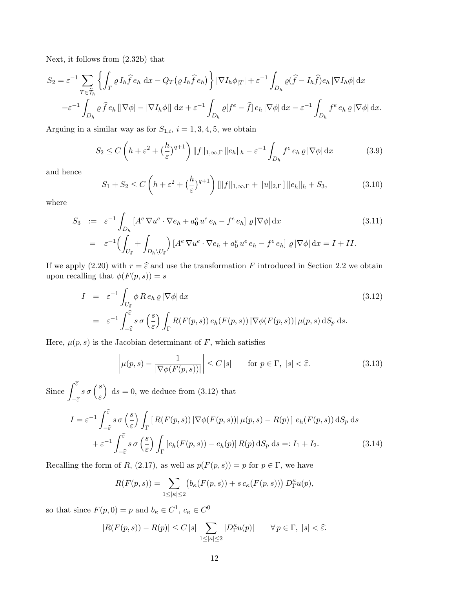Next, it follows from (2.32b) that

$$
S_2 = \varepsilon^{-1} \sum_{T \in \widetilde{\mathcal{T}}_h} \left\{ \int_T \varrho I_h \widehat{f} e_h \, dx - Q_T \big( \varrho I_h \widehat{f} e_h \big) \right\} |\nabla I_h \phi_{|T}| + \varepsilon^{-1} \int_{D_h} \varrho (\widehat{f} - I_h \widehat{f}) e_h |\nabla I_h \phi| \, dx + \varepsilon^{-1} \int_{D_h} \varrho \widehat{f} e_h [|\nabla \phi| - |\nabla I_h \phi|] \, dx + \varepsilon^{-1} \int_{D_h} \varrho [f^e - \widehat{f}] e_h |\nabla \phi| \, dx - \varepsilon^{-1} \int_{D_h} f^e e_h \varrho |\nabla \phi| \, dx.
$$

Arguing in a similar way as for  $S_{1,i}$ ,  $i = 1, 3, 4, 5$ , we obtain

$$
S_2 \le C \left( h + \varepsilon^2 + \left( \frac{h}{\varepsilon} \right)^{q+1} \right) \| f \|_{1,\infty,\Gamma} \| e_h \|_h - \varepsilon^{-1} \int_{D_h} f^e \, e_h \, \varrho \, |\nabla \phi| \, \mathrm{d}x \tag{3.9}
$$

and hence

$$
S_1 + S_2 \le C \left( h + \varepsilon^2 + \left( \frac{h}{\varepsilon} \right)^{q+1} \right) [\|f\|_{1,\infty,\Gamma} + \|u\|_{2,\Gamma}] \|e_h\|_h + S_3,
$$
 (3.10)

where

$$
S_3 := \varepsilon^{-1} \int_{D_h} \left[ A^e \nabla u^e \cdot \nabla e_h + a_0^e u^e e_h - f^e e_h \right] \varrho \left| \nabla \phi \right| dx \tag{3.11}
$$

$$
= \varepsilon^{-1} \Biggl( \int_{U_{\varepsilon}} + \int_{D_h \setminus U_{\varepsilon}} \Biggr) \left[ A^e \nabla u^e \cdot \nabla e_h + a_0^e u^e e_h - f^e e_h \right] \varrho \left| \nabla \phi \right| dx = I + II. \tag{3.12}
$$

If we apply (2.20) with  $r = \hat{\epsilon}$  and use the transformation F introduced in Section 2.2 we obtain upon recalling that  $\phi(F(p, s)) = s$ 

$$
I = \varepsilon^{-1} \int_{U_{\hat{\varepsilon}}} \phi \, Re_h \, \varrho \, |\nabla \phi| \, dx \qquad (3.12)
$$
  
=  $\varepsilon^{-1} \int_{-\hat{\varepsilon}}^{\hat{\varepsilon}} s \, \sigma \left( \frac{s}{\varepsilon} \right) \int_{\Gamma} R(F(p, s)) \, e_h(F(p, s)) \, |\nabla \phi(F(p, s))| \, \mu(p, s) \, dS_p \, ds.$ 

Here,  $\mu(p, s)$  is the Jacobian determinant of F, which satisfies

$$
\left| \mu(p,s) - \frac{1}{|\nabla \phi(F(p,s))|} \right| \le C \, |s| \qquad \text{for } p \in \Gamma, \ |s| < \hat{\varepsilon}. \tag{3.13}
$$

Since  $\int_0^{\widehat{\varepsilon}}$  $-\widehat{\varepsilon}$  $s\,\sigma\,\Big(\frac{s}{\varepsilon}$  $\Big)$  ds = 0, we deduce from (3.12) that

$$
I = \varepsilon^{-1} \int_{-\widehat{\varepsilon}}^{\widehat{\varepsilon}} s \,\sigma\left(\frac{s}{\varepsilon}\right) \int_{\Gamma} \left[ R(F(p,s)) \, |\nabla \phi(F(p,s))| \, \mu(p,s) - R(p) \right] \, e_h(F(p,s)) \, \mathrm{d}S_p \, \mathrm{d}s
$$

$$
+ \varepsilon^{-1} \int_{-\widehat{\varepsilon}}^{\widehat{\varepsilon}} s \,\sigma\left(\frac{s}{\varepsilon}\right) \int_{\Gamma} \left[ e_h(F(p,s)) - e_h(p) \right] R(p) \, \mathrm{d}S_p \, \mathrm{d}s =: I_1 + I_2. \tag{3.14}
$$

Recalling the form of R, (2.17), as well as  $p(F(p, s)) = p$  for  $p \in \Gamma$ , we have

$$
R(F(p,s)) = \sum_{1 \leq |\kappa| \leq 2} \big(b_{\kappa}(F(p,s)) + s c_{\kappa}(F(p,s))\big) D_{\Gamma}^{\kappa} u(p),
$$

so that since  $F(p, 0) = p$  and  $b_{\kappa} \in C^1$ ,  $c_{\kappa} \in C^0$ 

$$
|R(F(p,s)) - R(p)| \le C |s| \sum_{1 \le |\kappa| \le 2} |D_{\Gamma}^{\kappa} u(p)| \qquad \forall \, p \in \Gamma, \, |s| < \hat{\varepsilon}.
$$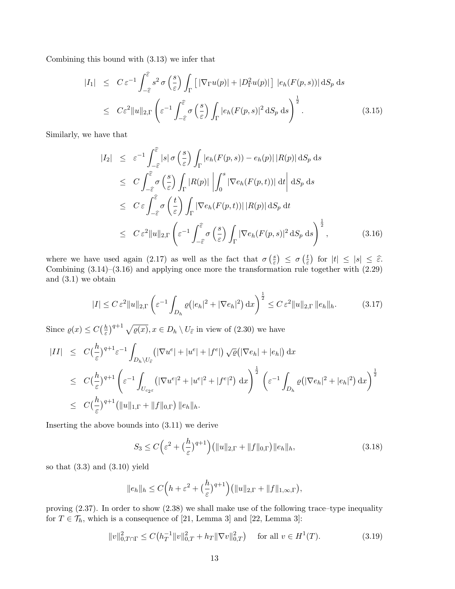Combining this bound with (3.13) we infer that

$$
|I_{1}| \leq C \varepsilon^{-1} \int_{-\widehat{\varepsilon}}^{\widehat{\varepsilon}} s^{2} \sigma\left(\frac{s}{\varepsilon}\right) \int_{\Gamma} \left[ |\nabla_{\Gamma} u(p)| + |D_{\Gamma}^{2} u(p)| \right] |e_{h}(F(p,s))| \, dS_{p} \, ds
$$
  

$$
\leq C \varepsilon^{2} \|u\|_{2,\Gamma} \left( \varepsilon^{-1} \int_{-\widehat{\varepsilon}}^{\widehat{\varepsilon}} \sigma\left(\frac{s}{\varepsilon}\right) \int_{\Gamma} |e_{h}(F(p,s)|^{2} \, dS_{p} \, ds \right)^{\frac{1}{2}}.
$$
 (3.15)

Similarly, we have that

$$
|I_2| \leq \varepsilon^{-1} \int_{-\widehat{\varepsilon}}^{\widehat{\varepsilon}} |s| \sigma \left(\frac{s}{\varepsilon}\right) \int_{\Gamma} |e_h(F(p, s)) - e_h(p)| |R(p)| \, dS_p \, ds
$$
  
\n
$$
\leq C \int_{-\widehat{\varepsilon}}^{\widehat{\varepsilon}} \sigma \left(\frac{s}{\varepsilon}\right) \int_{\Gamma} |R(p)| \left| \int_0^s |\nabla e_h(F(p, t))| \, dt \right| \, dS_p \, ds
$$
  
\n
$$
\leq C \varepsilon \int_{-\widehat{\varepsilon}}^{\widehat{\varepsilon}} \sigma \left(\frac{t}{\varepsilon}\right) \int_{\Gamma} |\nabla e_h(F(p, t))| |R(p)| \, dS_p \, dt
$$
  
\n
$$
\leq C \varepsilon^2 \|u\|_{2, \Gamma} \left( \varepsilon^{-1} \int_{-\widehat{\varepsilon}}^{\widehat{\varepsilon}} \sigma \left(\frac{s}{\varepsilon}\right) \int_{\Gamma} |\nabla e_h(F(p, s)|^2 \, dS_p \, ds \right)^{\frac{1}{2}}, \qquad (3.16)
$$

where we have used again (2.17) as well as the fact that  $\sigma\left(\frac{s}{s}\right)$  $\frac{s}{\varepsilon}$ )  $\leq \sigma \left( \frac{t}{\varepsilon} \right)$  $\left|\frac{t}{\varepsilon}\right|$  for  $|t| \leq |s| \leq \widehat{\varepsilon}.$ Combining  $(3.14)$ – $(3.16)$  and applying once more the transformation rule together with  $(2.29)$ and (3.1) we obtain

$$
|I| \leq C \varepsilon^2 \|u\|_{2,\Gamma} \left(\varepsilon^{-1} \int_{D_h} \varrho\big(|e_h|^2 + |\nabla e_h|^2\big) \, \mathrm{d}x\right)^{\frac{1}{2}} \leq C \varepsilon^2 \|u\|_{2,\Gamma} \|e_h\|_h. \tag{3.17}
$$

Since  $\rho(x) \leq C(\frac{h}{\varepsilon})$  $\frac{h}{\varepsilon}$ )<sup>q+1</sup>  $\sqrt{\varrho(x)}$ ,  $x \in D_h \setminus U_{\widehat{\varepsilon}}$  in view of (2.30) we have

$$
\begin{split}\n|II| &\leq C \left(\frac{h}{\varepsilon}\right)^{q+1} \varepsilon^{-1} \int_{D_h \setminus U_{\varepsilon}} \left( |\nabla u^e| + |u^e| + |f^e| \right) \sqrt{\varrho} \left( |\nabla e_h| + |e_h| \right) dx \\
&\leq C \left(\frac{h}{\varepsilon}\right)^{q+1} \left( \varepsilon^{-1} \int_{U_{c_2 \varepsilon}} \left( |\nabla u^e|^2 + |u^e|^2 + |f^e|^2 \right) dx \right)^{\frac{1}{2}} \left( \varepsilon^{-1} \int_{D_h} \varrho \left( |\nabla e_h|^2 + |e_h|^2 \right) dx \right)^{\frac{1}{2}} \\
&\leq C \left(\frac{h}{\varepsilon}\right)^{q+1} \left( \|u\|_{1,\Gamma} + \|f\|_{0,\Gamma} \right) \|e_h\|_h.\n\end{split}
$$

Inserting the above bounds into (3.11) we derive

$$
S_3 \le C \left(\varepsilon^2 + \left(\frac{h}{\varepsilon}\right)^{q+1}\right) \left( \|u\|_{2,\Gamma} + \|f\|_{0,\Gamma} \right) \|e_h\|_h, \tag{3.18}
$$

so that  $(3.3)$  and  $(3.10)$  yield

$$
||e_h||_h \leq C\Big(h+\varepsilon^2 + \big(\frac{h}{\varepsilon}\big)^{q+1}\Big)\big(||u||_{2,\Gamma} + ||f||_{1,\infty,\Gamma}\big),
$$

proving (2.37). In order to show (2.38) we shall make use of the following trace–type inequality for  $T \in \mathcal{T}_h$ , which is a consequence of [21, Lemma 3] and [22, Lemma 3]:

$$
||v||_{0,T\cap\Gamma}^{2} \leq C\left(h_{T}^{-1}||v||_{0,T}^{2} + h_{T}||\nabla v||_{0,T}^{2}\right) \quad \text{for all } v \in H^{1}(T). \tag{3.19}
$$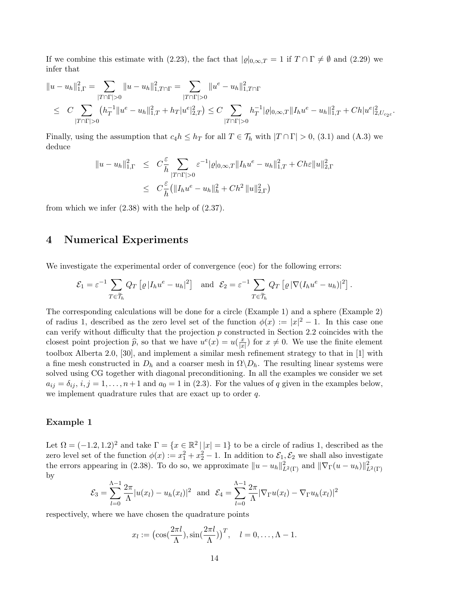If we combine this estimate with (2.23), the fact that  $|\varrho|_{0,\infty,T} = 1$  if  $T \cap \Gamma \neq \emptyset$  and (2.29) we infer that

$$
||u - u_h||_{1,\Gamma}^2 = \sum_{|T \cap \Gamma| > 0} ||u - u_h||_{1,T \cap \Gamma}^2 = \sum_{|T \cap \Gamma| > 0} ||u^e - u_h||_{1,T \cap \Gamma}^2
$$
  
\n
$$
\leq C \sum_{|T \cap \Gamma| > 0} (h_T^{-1}||u^e - u_h||_{1,T}^2 + h_T|u^e|_{2,T}^2) \leq C \sum_{|T \cap \Gamma| > 0} h_T^{-1}|\varrho|_{0,\infty,T} ||I_h u^e - u_h||_{1,T}^2 + Ch|u^e|_{2,U_{c_2\varepsilon}}^2.
$$

Finally, using the assumption that  $c_4h \leq h_T$  for all  $T \in \mathcal{T}_h$  with  $|T \cap \Gamma| > 0$ , (3.1) and (A.3) we deduce

$$
\|u - u_h\|_{1,\Gamma}^2 \leq C \frac{\varepsilon}{h} \sum_{|T \cap \Gamma| > 0} \varepsilon^{-1} |\varrho|_{0,\infty,T} \|I_h u^e - u_h\|_{1,T}^2 + C h \varepsilon \|u\|_{2,\Gamma}^2
$$
  

$$
\leq C \frac{\varepsilon}{h} (\|I_h u^e - u_h\|_h^2 + C h^2 \|u\|_{2,\Gamma}^2)
$$

from which we infer  $(2.38)$  with the help of  $(2.37)$ .

## 4 Numerical Experiments

We investigate the experimental order of convergence (eoc) for the following errors:

$$
\mathcal{E}_1 = \varepsilon^{-1} \sum_{T \in \widetilde{\mathcal{T}}_h} Q_T \left[ \varrho |I_h u^e - u_h|^2 \right] \text{ and } \mathcal{E}_2 = \varepsilon^{-1} \sum_{T \in \widetilde{\mathcal{T}}_h} Q_T \left[ \varrho | \nabla (I_h u^e - u_h) |^2 \right].
$$

The corresponding calculations will be done for a circle (Example 1) and a sphere (Example 2) of radius 1, described as the zero level set of the function  $\phi(x) := |x|^2 - 1$ . In this case one can verify without difficulty that the projection p constructed in Section 2.2 coincides with the closest point projection  $\hat{p}$ , so that we have  $u^e(x) = u(\frac{x}{|x|})$  $\frac{x}{|x|}$  for  $x \neq 0$ . We use the finite element toolbox Alberta 2.0, [30], and implement a similar mesh refinement strategy to that in [1] with a fine mesh constructed in  $D_h$  and a coarser mesh in  $\Omega \backslash D_h$ . The resulting linear systems were solved using CG together with diagonal preconditioning. In all the examples we consider we set  $a_{ij} = \delta_{ij}, i, j = 1, \ldots, n+1$  and  $a_0 = 1$  in (2.3). For the values of q given in the examples below, we implement quadrature rules that are exact up to order  $q$ .

#### Example 1

Let  $\Omega = (-1.2, 1.2)^2$  and take  $\Gamma = \{x \in \mathbb{R}^2 \mid |x| = 1\}$  to be a circle of radius 1, described as the zero level set of the function  $\phi(x) := x_1^2 + x_2^2 - 1$ . In addition to  $\mathcal{E}_1, \mathcal{E}_2$  we shall also investigate the errors appearing in (2.38). To do so, we approximate  $||u - u_h||^2_{L^2(\Gamma)}$  and  $||\nabla_{\Gamma}(u - u_h)||^2_{L^2(\Gamma)}$ by

$$
\mathcal{E}_3 = \sum_{l=0}^{\Lambda-1} \frac{2\pi}{\Lambda} |u(x_l) - u_h(x_l)|^2 \text{ and } \mathcal{E}_4 = \sum_{l=0}^{\Lambda-1} \frac{2\pi}{\Lambda} |\nabla_{\Gamma} u(x_l) - \nabla_{\Gamma} u_h(x_l)|^2
$$

respectively, where we have chosen the quadrature points

$$
x_l := \left(\cos\left(\frac{2\pi l}{\Lambda}\right), \sin\left(\frac{2\pi l}{\Lambda}\right)\right)^T, \quad l = 0, \dots, \Lambda - 1.
$$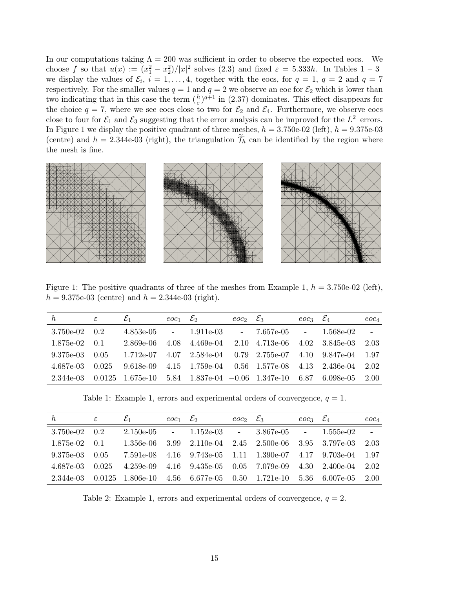In our computations taking  $\Lambda = 200$  was sufficient in order to observe the expected eocs. We choose f so that  $u(x) := (x_1^2 - x_2^2)/|x|^2$  solves (2.3) and fixed  $\varepsilon = 5.333h$ . In Tables  $1 - 3$ we display the values of  $\mathcal{E}_i$ ,  $i = 1, \ldots, 4$ , together with the eocs, for  $q = 1$ ,  $q = 2$  and  $q = 7$ respectively. For the smaller values  $q = 1$  and  $q = 2$  we observe an eoc for  $\mathcal{E}_2$  which is lower than two indicating that in this case the term  $(\frac{h}{\varepsilon})^{q+1}$  in (2.37) dominates. This effect disappears for the choice  $q = 7$ , where we see eocs close to two for  $\mathcal{E}_2$  and  $\mathcal{E}_4$ . Furthermore, we observe eocs close to four for  $\mathcal{E}_1$  and  $\mathcal{E}_3$  suggesting that the error analysis can be improved for the  $L^2$ -errors. In Figure 1 we display the positive quadrant of three meshes,  $h = 3.750e-02$  (left),  $h = 9.375e-03$ (centre) and  $h = 2.344e-03$  (right), the triangulation  $\widetilde{\mathcal{T}}_h$  can be identified by the region where the mesh is fine.



Figure 1: The positive quadrants of three of the meshes from Example 1,  $h = 3.750e-02$  (left),  $h = 9.375e-03$  (centre) and  $h = 2.344e-03$  (right).

| $\hbar$     | $\varepsilon$ | $\Sigma_1$         | $eoc_1$ $\mathcal{E}_2$ |                                                           | $eoc_2 \mathcal{E}_3$ |                           | $eoc_3 \mathcal{E}_4$ |                                  | $eoc_4$ |
|-------------|---------------|--------------------|-------------------------|-----------------------------------------------------------|-----------------------|---------------------------|-----------------------|----------------------------------|---------|
| $3.750e-02$ | 0.2           | 4.853e-05          | $\omega_{\rm{max}}$     | 1.911e-03                                                 |                       | $-7.657e-05$ $-1.568e-02$ |                       |                                  | $\sim$  |
| 1.875e-02   | 0.1           | 2.869e-06          | 4.08                    | 4.469e-04                                                 |                       | 2.10 4.713e-06            |                       | $4.02 \quad 3.845 \text{e-}03$   | 2.03    |
| 9.375e-03   | 0.05          | 1.712e-07          |                         | $4.07$ $2.584e-04$ $0.79$ $2.755e-07$                     |                       |                           |                       | $4.10 \quad 9.847 \text{e} - 04$ | 1.97    |
| 4.687e-03   | 0.025         | 9.618e-09          |                         | $4.15$ $1.759e-04$ $0.56$ $1.577e-08$ $4.13$ $2.436e-04$  |                       |                           |                       |                                  | 2.02    |
| 2.344e-03   |               | $0.0125$ 1.675e-10 |                         | $5.84$ $1.837e-04$ $-0.06$ $1.347e-10$ $6.87$ $6.098e-05$ |                       |                           |                       |                                  | 2.00    |

Table 1: Example 1, errors and experimental orders of convergence,  $q = 1$ .

| h.              | ε     | $\mathcal{E}_1$                                            | $\epsilon$ oc <sub>1</sub> $\mathcal{E}_2$ |                                | $eoc_2 \mathcal{E}_3$ |                                                          | $eoc_3 \mathcal{E}_4$ |                        | $eoc_4$                  |
|-----------------|-------|------------------------------------------------------------|--------------------------------------------|--------------------------------|-----------------------|----------------------------------------------------------|-----------------------|------------------------|--------------------------|
| $3.750e-02$ 0.2 |       | $2.150e-05$                                                |                                            |                                |                       | $-1.152e-03$ $-3.867e-05$ $-1.555e-02$                   |                       |                        | $\overline{\phantom{a}}$ |
| 1.875e-02       | 0.1   | 1.356e-06                                                  | 3.99                                       | $2.110e-04$ $2.45$ $2.500e-06$ |                       |                                                          |                       | 3.95 3.797e-03         | 2.03                     |
| 9.375e-03       | 0.05  | 7.591e-08                                                  |                                            |                                |                       | $4.16$ $9.743e-05$ $1.11$ $1.390e-07$ $4.17$ $9.703e-04$ |                       |                        | 1.97                     |
| 4.687e-03       | 0.025 | 4.259e-09                                                  |                                            | 4.16 9.435e-05 0.05            |                       | 7.079e-09                                                |                       | $4.30 \quad 2.400e-04$ | 2.02                     |
| 2.344e-03       |       | $0.0125$ $1.806e-10$ $4.56$ $6.677e-05$ $0.50$ $1.721e-10$ |                                            |                                |                       |                                                          |                       | 5.36 6.007e-05         | 2.00                     |

Table 2: Example 1, errors and experimental orders of convergence,  $q = 2$ .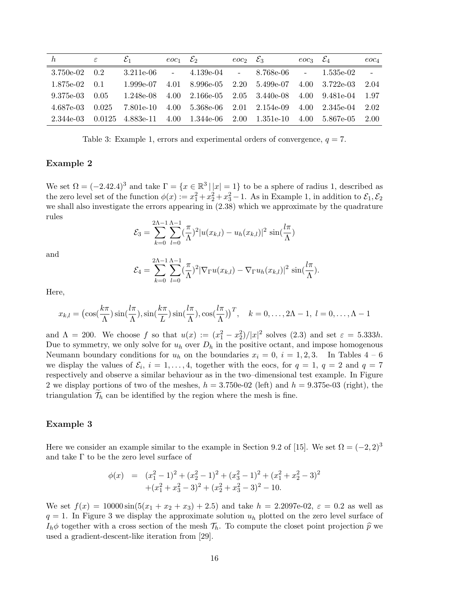| h           | ε     | $\varepsilon_1$ | $\epsilon$ oc <sub>1</sub> $\mathcal{E}_2$ |                                        | $eoc_2 \mathcal{E}_3$ |              | $eoc_3 \mathcal{E}_4$ |                                  | $eoc_4$ |
|-------------|-------|-----------------|--------------------------------------------|----------------------------------------|-----------------------|--------------|-----------------------|----------------------------------|---------|
| $3.750e-02$ | 0.2   | 3.211e-06       | $\overline{\phantom{0}}$                   | 4.139e-04                              | $\sim$                | 8.768e-06    | $\sim$                | 1.535e-02                        | $\sim$  |
| 1.875e-02   | 0.1   | 1.999e-07       | 4.01                                       | 8.996e-05 2.20                         |                       | 5.499e-07    | 4.00                  | 3.722e-03                        | 2.04    |
| $9.375e-03$ | 0.05  | 1.248e-08       | 4.00                                       | $2.166e-05$ $2.05$                     |                       | $3.440e-08$  | 4.00                  | 9.481e-04                        | 1.97    |
| 4.687e-03   | 0.025 | 7.801e-10       | 4.00                                       | $5.368e-06$ 2.01                       |                       | 2.154e-09    |                       | $4.00 \quad 2.345 \text{e} - 04$ | 2.02    |
| 2.344e-03   |       |                 |                                            | $0.0125$ 4.883e-11 4.00 1.344e-06 2.00 |                       | $1.351$ e-10 | 4.00                  | 5.867e-05                        | 2.00    |

Table 3: Example 1, errors and experimental orders of convergence,  $q = 7$ .

#### Example 2

We set  $\Omega = (-2.42.4)^3$  and take  $\Gamma = \{x \in \mathbb{R}^3 \mid |x| = 1\}$  to be a sphere of radius 1, described as the zero level set of the function  $\phi(x) := x_1^2 + x_2^2 + x_3^2 - 1$ . As in Example 1, in addition to  $\mathcal{E}_1, \mathcal{E}_2$ we shall also investigate the errors appearing in (2.38) which we approximate by the quadrature rules

$$
\mathcal{E}_3 = \sum_{k=0}^{2\Lambda - 1} \sum_{l=0}^{\Lambda - 1} \left(\frac{\pi}{\Lambda}\right)^2 |u(x_{k,l}) - u_h(x_{k,l})|^2 \sin\left(\frac{l\pi}{\Lambda}\right)
$$

and

$$
\mathcal{E}_4 = \sum_{k=0}^{2\Lambda-1} \sum_{l=0}^{\Lambda-1} \left(\frac{\pi}{\Lambda}\right)^2 |\nabla_{\Gamma} u(x_{k,l}) - \nabla_{\Gamma} u_h(x_{k,l})|^2 \sin\left(\frac{l\pi}{\Lambda}\right).
$$

Here,

$$
x_{k,l} = \left(\cos(\frac{k\pi}{\Lambda})\sin(\frac{l\pi}{\Lambda}), \sin(\frac{k\pi}{L})\sin(\frac{l\pi}{\Lambda}), \cos(\frac{l\pi}{\Lambda})\right)^T, \quad k = 0, \dots, 2\Lambda - 1, \ l = 0, \dots, \Lambda - 1
$$

and  $\Lambda = 200$ . We choose f so that  $u(x) := (x_1^2 - x_2^2)/|x|^2$  solves  $(2.3)$  and set  $\varepsilon = 5.333h$ . Due to symmetry, we only solve for  $u_h$  over  $D_h$  in the positive octant, and impose homogenous Neumann boundary conditions for  $u_h$  on the boundaries  $x_i = 0$ ,  $i = 1, 2, 3$ . In Tables 4 – 6 we display the values of  $\mathcal{E}_i$ ,  $i = 1, \ldots, 4$ , together with the eocs, for  $q = 1$ ,  $q = 2$  and  $q = 7$ respectively and observe a similar behaviour as in the two–dimensional test example. In Figure 2 we display portions of two of the meshes,  $h = 3.750e-02$  (left) and  $h = 9.375e-03$  (right), the triangulation  $\mathcal{T}_h$  can be identified by the region where the mesh is fine.

#### Example 3

Here we consider an example similar to the example in Section 9.2 of [15]. We set  $\Omega = (-2, 2)^3$ and take  $\Gamma$  to be the zero level surface of

$$
\begin{array}{rcl}\n\phi(x) & = & (x_1^2 - 1)^2 + (x_2^2 - 1)^2 + (x_3^2 - 1)^2 + (x_1^2 + x_2^2 - 3)^2 \\
& & + (x_1^2 + x_3^2 - 3)^2 + (x_2^2 + x_3^2 - 3)^2 - 10.\n\end{array}
$$

We set  $f(x) = 10000 \sin(5(x_1 + x_2 + x_3) + 2.5)$  and take  $h = 2.2097e-02$ ,  $\varepsilon = 0.2$  as well as  $q = 1$ . In Figure 3 we display the approximate solution  $u<sub>h</sub>$  plotted on the zero level surface of  $I_h\phi$  together with a cross section of the mesh  $\mathcal{T}_h$ . To compute the closet point projection  $\widehat{p}$  we used a gradient-descent-like iteration from [29].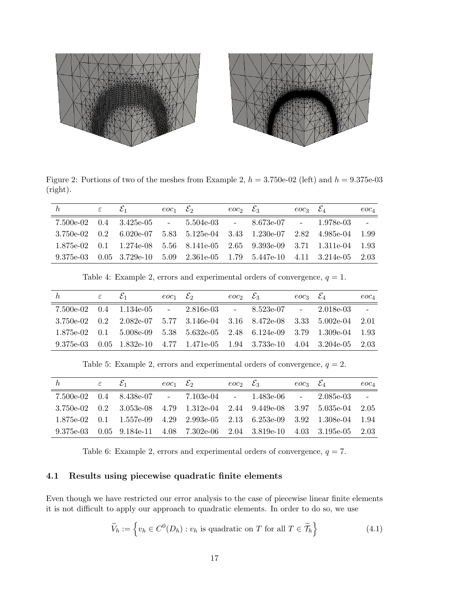

Figure 2: Portions of two of the meshes from Example 2,  $h = 3.750e-02$  (left) and  $h = 9.375e-03$ (right).

| h | $\varepsilon \qquad \varepsilon_1$ | $eoc_1$ $\mathcal{E}_2$ | $eoc_2 \tSigma_3$                                                                              | $eoc_3 \mathcal{E}_4$ | $eoc_4$  |
|---|------------------------------------|-------------------------|------------------------------------------------------------------------------------------------|-----------------------|----------|
|   |                                    |                         | $7.500e-02$ $0.4$ $3.425e-05$ $ 5.504e-03$ $ 8.673e-07$ $ 1.978e-03$                           |                       | $\equiv$ |
|   |                                    |                         | $3.750e-02$ 0.2 6.020e-07 5.83 5.125e-04 3.43 1.230e-07 2.82 4.985e-04                         |                       | - 1.99   |
|   |                                    |                         | $1.875e-02$ 0.1 $1.274e-08$ 5.56 $8.141e-05$ 2.65 $9.393e-09$ 3.71 $1.311e-04$ 1.93            |                       |          |
|   |                                    |                         | $9.375e-03$ $0.05$ $3.729e-10$ $5.09$ $2.361e-05$ $1.79$ $5.447e-10$ $4.11$ $3.214e-05$ $2.03$ |                       |          |

Table 4: Example 2, errors and experimental orders of convergence,  $q = 1$ .

| h               | $\varepsilon$ | $\mathcal{E}_1$ | $eoc_1 \mathcal{E}_2$ | $eoc_2 \mathcal{E}_3$                                                                          | $eoc_3 \mathcal{E}_4$ | $eoc_4$        |
|-----------------|---------------|-----------------|-----------------------|------------------------------------------------------------------------------------------------|-----------------------|----------------|
|                 |               |                 |                       | $7.500e-02$ $0.4$ $1.134e-05$ - $2.816e-03$ - $8.523e-07$ - $2.018e-03$                        |                       | $\mathbb{L}^2$ |
| $3.750e-02$ 0.2 |               |                 |                       | $2.082e-07$ 5.77 3.146e-04 3.16 8.472e-08 3.33 5.002e-04                                       |                       | 2.01           |
|                 |               |                 |                       | $1.875e-02$ 0.1 5.008e-09 5.38 5.632e-05 2.48 6.124e-09 3.79 1.309e-04                         |                       | 1.93           |
|                 |               |                 |                       | $9.375e-03$ $0.05$ $1.832e-10$ $4.77$ $1.471e-05$ $1.94$ $3.733e-10$ $4.04$ $3.204e-05$ $2.03$ |                       |                |

Table 5: Example 2, errors and experimental orders of convergence,  $q = 2$ .

| h. | $\varepsilon$ and $\varepsilon$ | $\mathcal{E}_1$ | $eoc_1$ $\mathcal{E}_2$ |                                                                                                | $eoc_2 \mathcal{E}_3$ | $eoc_3 \mathcal{E}_4$ | $eoc_4$  |
|----|---------------------------------|-----------------|-------------------------|------------------------------------------------------------------------------------------------|-----------------------|-----------------------|----------|
|    |                                 |                 |                         | $7.500e-02$ $0.4$ $8.438e-07$ - $7.103e-04$ - $1.483e-06$ - $2.085e-03$                        |                       |                       | $\equiv$ |
|    |                                 |                 |                         | $3.750e-02$ 0.2 $3.053e-08$ 4.79 $1.312e-04$ 2.44 $9.449e-08$ 3.97 $5.035e-04$                 |                       |                       | 2.05     |
|    |                                 |                 |                         | $1.875e-02$ 0.1 $1.557e-09$ 4.29 $2.993e-05$ 2.13 $6.253e-09$ 3.92 $1.308e-04$ 1.94            |                       |                       |          |
|    |                                 |                 |                         | $9.375e-03$ $0.05$ $9.184e-11$ $4.08$ $7.302e-06$ $2.04$ $3.819e-10$ $4.03$ $3.195e-05$ $2.03$ |                       |                       |          |

Table 6: Example 2, errors and experimental orders of convergence,  $q = 7$ .

## 4.1 Results using piecewise quadratic finite elements

Even though we have restricted our error analysis to the case of piecewise linear finite elements it is not difficult to apply our approach to quadratic elements. In order to do so, we use

$$
\widetilde{V}_h := \left\{ v_h \in C^0(D_h) : v_h \text{ is quadratic on } T \text{ for all } T \in \widetilde{\mathcal{T}}_h \right\} \tag{4.1}
$$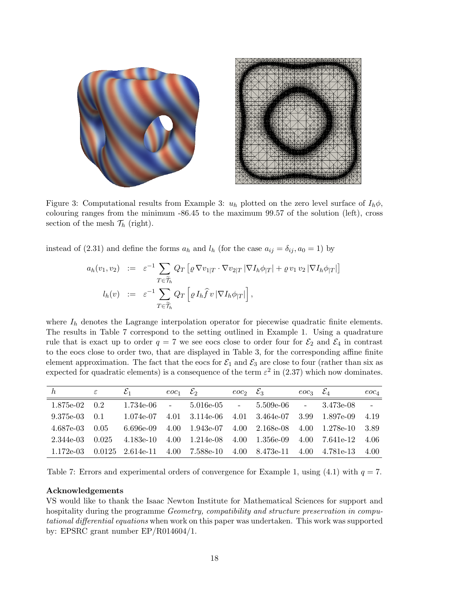

Figure 3: Computational results from Example 3:  $u_h$  plotted on the zero level surface of  $I_h\phi$ , colouring ranges from the minimum -86.45 to the maximum 99.57 of the solution (left), cross section of the mesh  $\mathcal{T}_h$  (right).

instead of (2.31) and define the forms  $a_h$  and  $l_h$  (for the case  $a_{ij} = \delta_{ij}, a_0 = 1$ ) by

$$
a_h(v_1, v_2) := \varepsilon^{-1} \sum_{T \in \widetilde{\mathcal{T}}_h} Q_T \left[ \varrho \nabla v_{1|T} \cdot \nabla v_{2|T} |\nabla I_h \phi_{|T}| + \varrho v_1 v_2 |\nabla I_h \phi_{|T}| \right]
$$
  

$$
l_h(v) := \varepsilon^{-1} \sum_{T \in \widetilde{\mathcal{T}}_h} Q_T \left[ \varrho I_h \widehat{f} v |\nabla I_h \phi_{|T}| \right],
$$

where  $I_h$  denotes the Lagrange interpolation operator for piecewise quadratic finite elements. The results in Table 7 correspond to the setting outlined in Example 1. Using a quadrature rule that is exact up to order  $q = 7$  we see eocs close to order four for  $\mathcal{E}_2$  and  $\mathcal{E}_4$  in contrast to the eocs close to order two, that are displayed in Table 3, for the corresponding affine finite element approximation. The fact that the eocs for  $\mathcal{E}_1$  and  $\mathcal{E}_3$  are close to four (rather than six as expected for quadratic elements) is a consequence of the term  $\varepsilon^2$  in (2.37) which now dominates.

| $\hbar$   | ε     | $\mathcal{E}_1$ | $\mathit{eoc}_1$ $\mathcal{E}_2$ |                                                               | $eoc_2 \mathcal{E}_3$ |                | $eoc_3$ $\mathcal{E}_4$ |                | $eoc_4$  |
|-----------|-------|-----------------|----------------------------------|---------------------------------------------------------------|-----------------------|----------------|-------------------------|----------------|----------|
| 1.875e-02 | 0.2   | 1.734e-06       | $\sim$ $-$                       | $5.016e-05$ -                                                 |                       | $5.509e-06$ -  |                         | 3.473e-08      | $\equiv$ |
| 9.375e-03 | 0.1   | 1.074e-07       |                                  | $4.01 \quad 3.114e-06$                                        |                       | 4.01 3.464e-07 |                         | 3.99 1.897e-09 | 4.19     |
| 4.687e-03 | 0.05  | 6.696e-09       | 4.00                             | $1.943e-07$ 4.00                                              |                       | 2.168e-08      | 4.00                    | 1.278e-10      | 3.89     |
| 2.344e-03 | 0.025 | 4.183e-10       |                                  | $4.00 \quad 1.214 \text{e-}08 \quad 4.00$                     |                       | $1.356$ e-09   |                         | 4.00 7.641e-12 | -4.06    |
| 1.172e-03 |       |                 |                                  | $0.0125$ $2.614$ e-11 $4.00$ $7.588$ e-10 $4.00$ $8.473$ e-11 |                       |                | 4.00                    | 4.781e-13      | 4.00     |

Table 7: Errors and experimental orders of convergence for Example 1, using (4.1) with  $q = 7$ .

#### Acknowledgements

VS would like to thank the Isaac Newton Institute for Mathematical Sciences for support and hospitality during the programme *Geometry, compatibility and structure preservation in compu*tational differential equations when work on this paper was undertaken. This work was supported by: EPSRC grant number EP/R014604/1.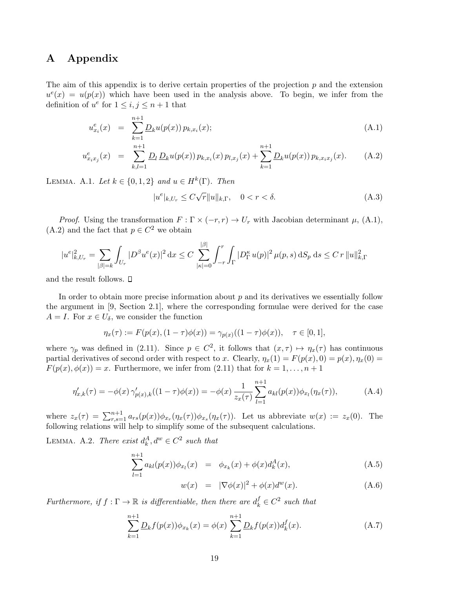# A Appendix

The aim of this appendix is to derive certain properties of the projection  $p$  and the extension  $u^e(x) = u(p(x))$  which have been used in the analysis above. To begin, we infer from the definition of  $u^e$  for  $1 \leq i, j \leq n+1$  that

$$
u_{x_i}^e(x) = \sum_{k=1}^{n+1} \underline{D}_k u(p(x)) p_{k,x_i}(x); \qquad (A.1)
$$

$$
u_{x_ix_j}^e(x) = \sum_{k,l=1}^{n+1} \underline{D}_l \, \underline{D}_k u(p(x)) \, p_{k,x_i}(x) \, p_{l,x_j}(x) + \sum_{k=1}^{n+1} \underline{D}_k u(p(x)) \, p_{k,x_ix_j}(x). \tag{A.2}
$$

LEMMA. A.1. Let  $k \in \{0,1,2\}$  and  $u \in H^k(\Gamma)$ . Then

$$
|u^e|_{k,U_r} \le C\sqrt{r}||u||_{k,\Gamma}, \quad 0 < r < \delta.
$$
\n(A.3)

*Proof.* Using the transformation  $F : \Gamma \times (-r, r) \to U_r$  with Jacobian determinant  $\mu$ , (A.1), (A.2) and the fact that  $p \in C^2$  we obtain

$$
|u^e|_{k,U_r}^2 = \sum_{|\beta|=k} \int_{U_r} |D^\beta u^e(x)|^2 dx \le C \sum_{|\kappa|=0}^{|\beta|} \int_{-r}^r \int_{\Gamma} |D^\kappa_{\Gamma} u(p)|^2 \, \mu(p,s) \, dS_p \, ds \le C \, r \, \|u\|_{k,\Gamma}^2
$$

and the result follows.  $\square$ 

In order to obtain more precise information about  $p$  and its derivatives we essentially follow the argument in [9, Section 2.1], where the corresponding formulae were derived for the case  $A = I$ . For  $x \in U_{\delta}$ , we consider the function

$$
\eta_x(\tau) := F(p(x), (1 - \tau)\phi(x)) = \gamma_{p(x)}((1 - \tau)\phi(x)), \quad \tau \in [0, 1],
$$

where  $\gamma_p$  was defined in (2.11). Since  $p \in C^2$ , it follows that  $(x, \tau) \mapsto \eta_x(\tau)$  has continuous partial derivatives of second order with respect to x. Clearly,  $\eta_x(1) = F(p(x), 0) = p(x), \eta_x(0) =$  $F(p(x), \phi(x)) = x$ . Furthermore, we infer from (2.11) that for  $k = 1, \ldots, n + 1$ 

$$
\eta'_{x,k}(\tau) = -\phi(x)\,\gamma'_{p(x),k}((1-\tau)\phi(x)) = -\phi(x)\,\frac{1}{z_x(\tau)}\sum_{l=1}^{n+1} a_{kl}(p(x))\phi_{x_l}(\eta_x(\tau)),\tag{A.4}
$$

where  $z_x(\tau) = \sum_{r,s=1}^{n+1} a_{rs}(p(x))\phi_{x_r}(\eta_x(\tau))\phi_{x_s}(\eta_x(\tau))$ . Let us abbreviate  $w(x) := z_x(0)$ . The following relations will help to simplify some of the subsequent calculations.

LEMMA. A.2. There exist  $d_k^A, d^w \in C^2$  such that

$$
\sum_{l=1}^{n+1} a_{kl}(p(x))\phi_{x_l}(x) = \phi_{x_k}(x) + \phi(x)d_k^A(x), \qquad (A.5)
$$

$$
w(x) = |\nabla \phi(x)|^2 + \phi(x)d^w(x). \tag{A.6}
$$

Furthermore, if  $f : \Gamma \to \mathbb{R}$  is differentiable, then there are  $d_k^f \in C^2$  such that

$$
\sum_{k=1}^{n+1} \underline{D}_k f(p(x)) \phi_{x_k}(x) = \phi(x) \sum_{k=1}^{n+1} \underline{D}_k f(p(x)) d_k^f(x).
$$
 (A.7)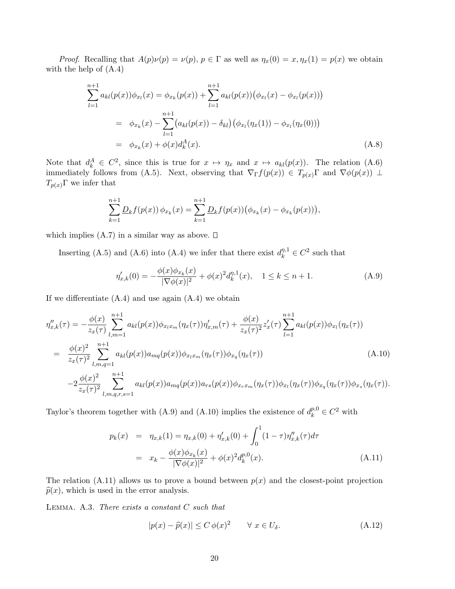*Proof.* Recalling that  $A(p)\nu(p) = \nu(p)$ ,  $p \in \Gamma$  as well as  $\eta_x(0) = x, \eta_x(1) = p(x)$  we obtain with the help of (A.4)

$$
\sum_{l=1}^{n+1} a_{kl}(p(x))\phi_{x_l}(x) = \phi_{x_k}(p(x)) + \sum_{l=1}^{n+1} a_{kl}(p(x))(\phi_{x_l}(x) - \phi_{x_l}(p(x)))
$$
  
=  $\phi_{x_k}(x) - \sum_{l=1}^{n+1} (a_{kl}(p(x)) - \delta_{kl}) (\phi_{x_l}(\eta_x(1)) - \phi_{x_l}(\eta_x(0)))$   
=  $\phi_{x_k}(x) + \phi(x)d_k^A(x).$  (A.8)

Note that  $d_k^A \in C^2$ , since this is true for  $x \mapsto \eta_x$  and  $x \mapsto a_{kl}(p(x))$ . The relation (A.6) immediately follows from (A.5). Next, observing that  $\nabla_{\Gamma} f(p(x)) \in T_{p(x)}\Gamma$  and  $\nabla \phi(p(x)) \perp$  $T_{p(x)}\Gamma$  we infer that

$$
\sum_{k=1}^{n+1} \underline{D}_k f(p(x)) \phi_{x_k}(x) = \sum_{k=1}^{n+1} \underline{D}_k f(p(x)) (\phi_{x_k}(x) - \phi_{x_k}(p(x))),
$$

which implies  $(A.7)$  in a similar way as above.  $\square$ 

Inserting (A.5) and (A.6) into (A.4) we infer that there exist  $d_k^{\eta,1} \in C^2$  such that

$$
\eta'_{x,k}(0) = -\frac{\phi(x)\phi_{x_k}(x)}{|\nabla\phi(x)|^2} + \phi(x)^2 d_k^{\eta,1}(x), \quad 1 \le k \le n+1. \tag{A.9}
$$

If we differentiate  $(A.4)$  and use again  $(A.4)$  we obtain

$$
\eta_{x,k}''(\tau) = -\frac{\phi(x)}{z_x(\tau)} \sum_{l,m=1}^{n+1} a_{kl}(p(x)) \phi_{x_l x_m}(\eta_x(\tau)) \eta_{x,m}'(\tau) + \frac{\phi(x)}{z_x(\tau)^2} z_x'(\tau) \sum_{l=1}^{n+1} a_{kl}(p(x)) \phi_{x_l}(\eta_x(\tau))
$$
  
\n
$$
= \frac{\phi(x)^2}{z_x(\tau)^2} \sum_{l,m,q=1}^{n+1} a_{kl}(p(x)) a_{mq}(p(x)) \phi_{x_l x_m}(\eta_x(\tau)) \phi_{x_q}(\eta_x(\tau))
$$
  
\n
$$
-2 \frac{\phi(x)^2}{z_x(\tau)^2} \sum_{l,m,q,r,s=1}^{n+1} a_{kl}(p(x)) a_{mq}(p(x)) a_{rs}(p(x)) \phi_{x_r x_m}(\eta_x(\tau)) \phi_{x_l}(\eta_x(\tau)) \phi_{x_q}(\eta_x(\tau)) \phi_{x_s}(\eta_x(\tau)).
$$
\n(A.10)

Taylor's theorem together with (A.9) and (A.10) implies the existence of  $d_k^{p,0} \in C^2$  with

$$
p_k(x) = \eta_{x,k}(1) = \eta_{x,k}(0) + \eta'_{x,k}(0) + \int_0^1 (1 - \tau) \eta''_{x,k}(\tau) d\tau
$$
  

$$
= x_k - \frac{\phi(x)\phi_{x_k}(x)}{|\nabla \phi(x)|^2} + \phi(x)^2 d_k^{p,0}(x).
$$
 (A.11)

The relation (A.11) allows us to prove a bound between  $p(x)$  and the closest-point projection  $\hat{p}(x)$ , which is used in the error analysis.

LEMMA. A.3. There exists a constant  $C$  such that

$$
|p(x) - \widehat{p}(x)| \le C \phi(x)^2 \qquad \forall \ x \in U_{\delta}.
$$
 (A.12)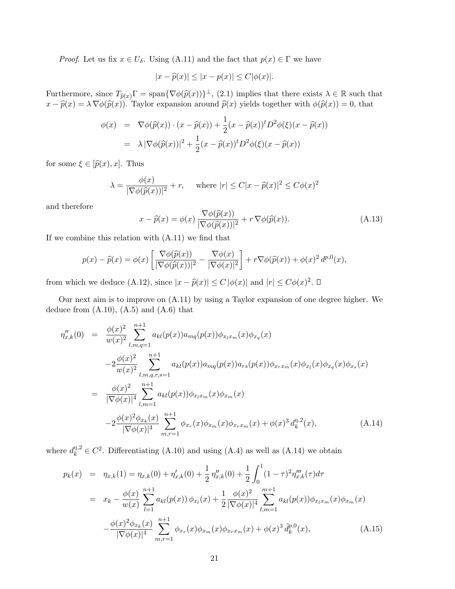*Proof.* Let us fix  $x \in U_{\delta}$ . Using (A.11) and the fact that  $p(x) \in \Gamma$  we have

$$
|x - \widehat{p}(x)| \le |x - p(x)| \le C|\phi(x)|.
$$

Furthermore, since  $T_{\hat{p}(x)}\Gamma = \text{span}\{\nabla\phi(\hat{p}(x))\}^{\perp}$ , (2.1) implies that there exists  $\lambda \in \mathbb{R}$  such that  $x \in \hat{p}(x) = \lambda \nabla\phi(\hat{p}(x))$ . Taylor expansion example  $\hat{p}(x)$  yields together with  $\phi(\hat{p}(x)) = 0$ , that  $x - \widehat{p}(x) = \lambda \nabla \phi(\widehat{p}(x))$ . Taylor expansion around  $\widehat{p}(x)$  yields together with  $\phi(\widehat{p}(x)) = 0$ , that

$$
\begin{aligned}\n\phi(x) &= \nabla \phi(\widehat{p}(x)) \cdot (x - \widehat{p}(x)) + \frac{1}{2}(x - \widehat{p}(x))^t D^2 \phi(\xi)(x - \widehat{p}(x)) \\
&= \lambda \left| \nabla \phi(\widehat{p}(x)) \right|^2 + \frac{1}{2}(x - \widehat{p}(x))^t D^2 \phi(\xi)(x - \widehat{p}(x))\n\end{aligned}
$$

for some  $\xi \in [\widehat{p}(x), x]$ . Thus

$$
\lambda = \frac{\phi(x)}{|\nabla \phi(\widehat{p}(x))|^2} + r, \quad \text{where } |r| \le C|x - \widehat{p}(x)|^2 \le C\phi(x)^2
$$

and therefore

$$
x - \widehat{p}(x) = \phi(x) \frac{\nabla \phi(\widehat{p}(x))}{|\nabla \phi(\widehat{p}(x))|^2} + r \nabla \phi(\widehat{p}(x)).
$$
\n(A.13)

If we combine this relation with (A.11) we find that

$$
p(x) - \widehat{p}(x) = \phi(x) \left[ \frac{\nabla \phi(\widehat{p}(x))}{|\nabla \phi(\widehat{p}(x))|^2} - \frac{\nabla \phi(x)}{|\nabla \phi(x)|^2} \right] + r \nabla \phi(\widehat{p}(x)) + \phi(x)^2 d^{p,0}(x),
$$

from which we deduce (A.12), since  $|x - \widehat{p}(x)| \le C |\phi(x)|$  and  $|r| \le C\phi(x)^2$ .

Our next aim is to improve on (A.11) by using a Taylor expansion of one degree higher. We deduce from  $(A.10)$ ,  $(A.5)$  and  $(A.6)$  that

$$
\eta_{x,k}''(0) = \frac{\phi(x)^2}{w(x)^2} \sum_{l,m,q=1}^{n+1} a_{kl}(p(x)) a_{mq}(p(x)) \phi_{x_l x_m}(x) \phi_{x_q}(x)
$$
  
\n
$$
-2 \frac{\phi(x)^2}{w(x)^2} \sum_{l,m,q,r,s=1}^{n+1} a_{kl}(p(x)) a_{mq}(p(x)) a_{rs}(p(x)) \phi_{x_r x_m}(x) \phi_{x_l}(x) \phi_{x_q}(x) \phi_{x_s}(x)
$$
  
\n
$$
= \frac{\phi(x)^2}{|\nabla \phi(x)|^4} \sum_{l,m=1}^{n+1} a_{kl}(p(x)) \phi_{x_l x_m}(x) \phi_{x_m}(x)
$$
  
\n
$$
-2 \frac{\phi(x)^2 \phi_{x_k}(x)}{|\nabla \phi(x)|^4} \sum_{m,r=1}^{n+1} \phi_{x_r}(x) \phi_{x_m}(x) \phi_{x_r x_m}(x) + \phi(x)^3 d_k^{n,2}(x), \qquad (A.14)
$$

where  $d_k^{\eta,2} \in C^2$ . Differentiating (A.10) and using (A.4) as well as (A.14) we obtain

$$
p_k(x) = \eta_{x,k}(1) = \eta_{x,k}(0) + \eta'_{x,k}(0) + \frac{1}{2} \eta''_{x,k}(0) + \frac{1}{2} \int_0^1 (1 - \tau)^2 \eta'''_{x,k}(\tau) d\tau
$$
  
\n
$$
= x_k - \frac{\phi(x)}{w(x)} \sum_{l=1}^{n+1} a_{kl}(p(x)) \phi_{x_l}(x) + \frac{1}{2} \frac{\phi(x)^2}{|\nabla \phi(x)|^4} \sum_{l,m=1}^{m+1} a_{kl}(p(x)) \phi_{x_l x_m}(x) \phi_{x_m}(x)
$$
  
\n
$$
- \frac{\phi(x)^2 \phi_{x_k}(x)}{|\nabla \phi(x)|^4} \sum_{m,r=1}^{n+1} \phi_{x_r}(x) \phi_{x_m}(x) \phi_{x_r x_m}(x) + \phi(x)^3 \tilde{d}_k^{p,0}(x), \qquad (A.15)
$$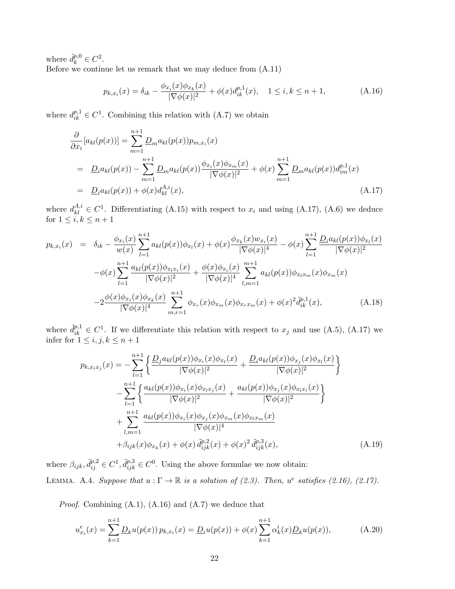where  $\tilde{d}_k^{p,0} \in C^2$ .

Before we continue let us remark that we may deduce from (A.11)

$$
p_{k,x_i}(x) = \delta_{ik} - \frac{\phi_{x_i}(x)\phi_{x_k}(x)}{|\nabla\phi(x)|^2} + \phi(x)d_{ik}^{p,1}(x), \quad 1 \le i, k \le n+1,
$$
\n(A.16)

where  $d_{ik}^{p,1} \in C^1$ . Combining this relation with (A.7) we obtain

$$
\frac{\partial}{\partial x_i} [a_{kl}(p(x))] = \sum_{m=1}^{n+1} \underline{D}_m a_{kl}(p(x)) p_{m,x_i}(x)
$$
\n
$$
= \underline{D}_i a_{kl}(p(x)) - \sum_{m=1}^{n+1} \underline{D}_m a_{kl}(p(x)) \frac{\phi_{x_i}(x) \phi_{x_m}(x)}{|\nabla \phi(x)|^2} + \phi(x) \sum_{m=1}^{n+1} \underline{D}_m a_{kl}(p(x)) d_{im}^{p,1}(x)
$$
\n
$$
= \underline{D}_i a_{kl}(p(x)) + \phi(x) d_{kl}^{A,i}(x), \qquad (A.17)
$$

where  $d_{kl}^{A,i} \in C^1$ . Differentiating (A.15) with respect to  $x_i$  and using (A.17), (A.6) we deduce for  $1 \leq i, k \leq n+1$ 

$$
p_{k,x_i}(x) = \delta_{ik} - \frac{\phi_{x_i}(x)}{w(x)} \sum_{l=1}^{n+1} a_{kl}(p(x)) \phi_{x_l}(x) + \phi(x) \frac{\phi_{x_k}(x) w_{x_i}(x)}{|\nabla \phi(x)|^4} - \phi(x) \sum_{l=1}^{n+1} \frac{D_i a_{kl}(p(x)) \phi_{x_l}(x)}{|\nabla \phi(x)|^2} - \phi(x) \sum_{l=1}^{n+1} \frac{a_{kl}(p(x)) \phi_{x_l x_i}(x)}{|\nabla \phi(x)|^2} + \frac{\phi(x) \phi_{x_i}(x)}{|\nabla \phi(x)|^4} \sum_{l,m=1}^{m+1} a_{kl}(p(x)) \phi_{x_l x_m}(x) \phi_{x_m}(x) - 2 \frac{\phi(x) \phi_{x_i}(x) \phi_{x_k}(x)}{|\nabla \phi(x)|^4} \sum_{m,r=1}^{n+1} \phi_{x_r}(x) \phi_{x_m}(x) \phi_{x_r x_m}(x) + \phi(x)^2 \tilde{d}_{ik}^{p,1}(x), \tag{A.18}
$$

where  $\tilde{d}_{ik}^{p,1} \in C^1$ . If we differentiate this relation with respect to  $x_j$  and use (A.5), (A.17) we infer for  $1 \leq i, j, k \leq n+1$ 

$$
p_{k,x_ix_j}(x) = -\sum_{l=1}^{n+1} \left\{ \frac{\underline{D}_j a_{kl}(p(x))\phi_{x_i}(x)\phi_{x_l}(x)}{|\nabla \phi(x)|^2} + \frac{\underline{D}_i a_{kl}(p(x))\phi_{x_j}(x)\phi_{x_l}(x)}{|\nabla \phi(x)|^2} \right\}
$$

$$
-\sum_{l=1}^{n+1} \left\{ \frac{a_{kl}(p(x))\phi_{x_i}(x)\phi_{x_ix_j}(x)}{|\nabla \phi(x)|^2} + \frac{a_{kl}(p(x))\phi_{x_j}(x)\phi_{x_ix_i}(x)}{|\nabla \phi(x)|^2} \right\}
$$

$$
+\sum_{l,m=1}^{n+1} \frac{a_{kl}(p(x))\phi_{x_i}(x)\phi_{x_j}(x)\phi_{x_m}(x)\phi_{x_lx_m}(x)}{|\nabla \phi(x)|^4}
$$

$$
+\beta_{ijk}(x)\phi_{x_k}(x) + \phi(x)\tilde{d}_{ijk}^{p,2}(x) + \phi(x)^2 \tilde{d}_{ijk}^{p,3}(x), \qquad (A.19)
$$

where  $\beta_{ijk}, \tilde{d}_{ij}^{p,2} \in C^1, \tilde{d}_{ijk}^{p,3} \in C^0$ . Using the above formulae we now obtain: LEMMA. A.4. Suppose that  $u : \Gamma \to \mathbb{R}$  is a solution of (2.3). Then,  $u^e$  satisfies (2.16), (2.17).

*Proof.* Combining  $(A.1)$ ,  $(A.16)$  and  $(A.7)$  we deduce that

$$
u_{x_i}^e(x) = \sum_{k=1}^{n+1} \underline{D}_k u(p(x)) p_{k,x_i}(x) = \underline{D}_i u(p(x)) + \phi(x) \sum_{k=1}^{n+1} \alpha_k^i(x) \underline{D}_k u(p(x)),
$$
 (A.20)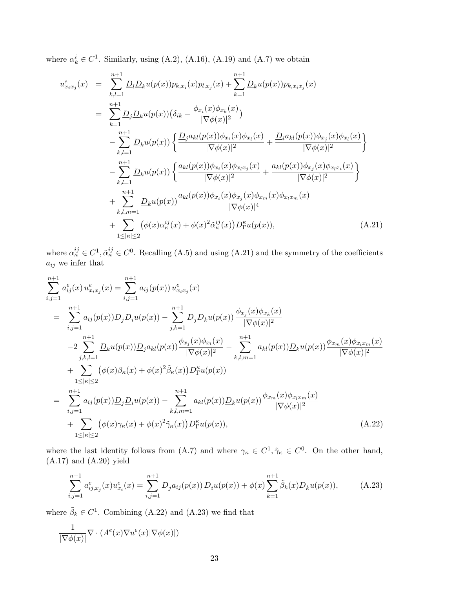where  $\alpha_k^i \in C^1$ . Similarly, using (A.2), (A.16), (A.19) and (A.7) we obtain

$$
u_{x_ix_j}^e(x) = \sum_{k,l=1}^{n+1} \underline{D}_l \underline{D}_k u(p(x)) p_{k,x_i}(x) p_{l,x_j}(x) + \sum_{k=1}^{n+1} \underline{D}_k u(p(x)) p_{k,x_ix_j}(x)
$$
  
\n
$$
= \sum_{k=1}^{n+1} \underline{D}_j \underline{D}_k u(p(x)) \left( \delta_{ik} - \frac{\phi_{x_i}(x) \phi_{x_k}(x)}{|\nabla \phi(x)|^2} \right)
$$
  
\n
$$
- \sum_{k,l=1}^{n+1} \underline{D}_k u(p(x)) \left\{ \frac{\underline{D}_j a_{kl}(p(x)) \phi_{x_i}(x) \phi_{x_l}(x)}{|\nabla \phi(x)|^2} + \frac{\underline{D}_i a_{kl}(p(x)) \phi_{x_j}(x) \phi_{x_l}(x)}{|\nabla \phi(x)|^2} \right\}
$$
  
\n
$$
- \sum_{k,l=1}^{n+1} \underline{D}_k u(p(x)) \left\{ \frac{a_{kl}(p(x)) \phi_{x_i}(x) \phi_{x_l x_j}(x)}{|\nabla \phi(x)|^2} + \frac{a_{kl}(p(x)) \phi_{x_j}(x) \phi_{x_l x_i}(x)}{|\nabla \phi(x)|^2} \right\}
$$
  
\n
$$
+ \sum_{k,l,m=1}^{n+1} \underline{D}_k u(p(x)) \frac{a_{kl}(p(x)) \phi_{x_i}(x) \phi_{x_j}(x) \phi_{x_m}(x) \phi_{x_l x_m}(x)}{|\nabla \phi(x)|^4}
$$
  
\n
$$
+ \sum_{1 \leq |\kappa| \leq 2} (\phi(x) \alpha_{\kappa}^{ij}(x) + \phi(x)^2 \tilde{\alpha}_{\kappa}^{ij}(x)) D_1^{\kappa} u(p(x)), \qquad (A.21)
$$

where  $\alpha_{\kappa}^{ij} \in C^1$ ,  $\tilde{\alpha}_{\kappa}^{ij} \in C^0$ . Recalling (A.5) and using (A.21) and the symmetry of the coefficients  $a_{ij}$  we infer that

$$
\sum_{i,j=1}^{n+1} a_{ij}^{e}(x) u_{x_ix_j}^{e}(x) = \sum_{i,j=1}^{n+1} a_{ij}(p(x)) u_{x_ix_j}^{e}(x)
$$
\n
$$
= \sum_{i,j=1}^{n+1} a_{ij}(p(x)) \underline{D}_j \underline{D}_i u(p(x)) - \sum_{j,k=1}^{n+1} \underline{D}_j \underline{D}_k u(p(x)) \frac{\phi_{x_j}(x) \phi_{x_k}(x)}{|\nabla \phi(x)|^2}
$$
\n
$$
-2 \sum_{j,k,l=1}^{n+1} \underline{D}_k u(p(x)) \underline{D}_j a_{kl}(p(x)) \frac{\phi_{x_j}(x) \phi_{x_l}(x)}{|\nabla \phi(x)|^2} - \sum_{k,l,m=1}^{n+1} a_{kl}(p(x)) \underline{D}_k u(p(x)) \frac{\phi_{x_m}(x) \phi_{x_l x_m}(x)}{|\nabla \phi(x)|^2}
$$
\n
$$
+ \sum_{1 \leq |\kappa| \leq 2} (\phi(x) \beta_\kappa(x) + \phi(x)^2 \tilde{\beta}_\kappa(x)) D_1^{\kappa} u(p(x))
$$
\n
$$
= \sum_{i,j=1}^{n+1} a_{ij}(p(x)) \underline{D}_j \underline{D}_i u(p(x)) - \sum_{k,l,m=1}^{n+1} a_{kl}(p(x)) \underline{D}_k u(p(x)) \frac{\phi_{x_m}(x) \phi_{x_l x_m}(x)}{|\nabla \phi(x)|^2}
$$
\n
$$
+ \sum_{1 \leq |\kappa| \leq 2} (\phi(x) \gamma_\kappa(x) + \phi(x)^2 \tilde{\gamma}_\kappa(x)) D_1^{\kappa} u(p(x)), \qquad (A.22)
$$

where the last identity follows from (A.7) and where  $\gamma_{\kappa} \in C^{1}, \tilde{\gamma}_{\kappa} \in C^{0}$ . On the other hand, (A.17) and (A.20) yield

$$
\sum_{i,j=1}^{n+1} a_{ij,x_j}^e(x) u_{x_i}^e(x) = \sum_{i,j=1}^{n+1} \underline{D}_j a_{ij}(p(x)) \underline{D}_i u(p(x)) + \phi(x) \sum_{k=1}^{n+1} \tilde{\beta}_k(x) \underline{D}_k u(p(x)), \tag{A.23}
$$

where  $\tilde{\beta}_k \in C^1$ . Combining (A.22) and (A.23) we find that

$$
\frac{1}{|\nabla \phi(x)|} \nabla \cdot (A^e(x) \nabla u^e(x) |\nabla \phi(x)|)
$$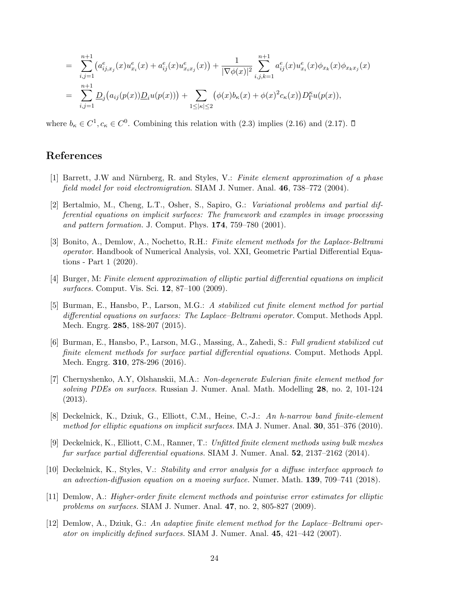$$
= \sum_{i,j=1}^{n+1} (a_{ij,x_j}^e(x)u_{x_i}^e(x) + a_{ij}^e(x)u_{x_ix_j}^e(x)) + \frac{1}{|\nabla\phi(x)|^2} \sum_{i,j,k=1}^{n+1} a_{ij}^e(x)u_{x_i}^e(x)\phi_{x_k}(x)\phi_{x_kx_j}(x)
$$
  

$$
= \sum_{i,j=1}^{n+1} \underline{D}_j(a_{ij}(p(x))\underline{D}_i u(p(x))) + \sum_{1 \leq |\kappa| \leq 2} (\phi(x)b_{\kappa}(x) + \phi(x)^2 c_{\kappa}(x))\underline{D}_1^{\kappa} u(p(x)),
$$

where  $b_{\kappa} \in C^1, c_{\kappa} \in C^0$ . Combining this relation with (2.3) implies (2.16) and (2.17).

# References

- [1] Barrett, J.W and Nürnberg, R. and Styles, V.: Finite element approximation of a phase field model for void electromigration. SIAM J. Numer. Anal. 46, 738–772 (2004).
- [2] Bertalmio, M., Cheng, L.T., Osher, S., Sapiro, G.: Variational problems and partial differential equations on implicit surfaces: The framework and examples in image processing and pattern formation. J. Comput. Phys. 174, 759–780 (2001).
- [3] Bonito, A., Demlow, A., Nochetto, R.H.: Finite element methods for the Laplace-Beltrami operator. Handbook of Numerical Analysis, vol. XXI, Geometric Partial Differential Equations - Part 1 (2020).
- [4] Burger, M: Finite element approximation of elliptic partial differential equations on implicit surfaces. Comput. Vis. Sci. 12, 87–100 (2009).
- [5] Burman, E., Hansbo, P., Larson, M.G.: A stabilized cut finite element method for partial differential equations on surfaces: The Laplace–Beltrami operator. Comput. Methods Appl. Mech. Engrg. 285, 188-207 (2015).
- [6] Burman, E., Hansbo, P., Larson, M.G., Massing, A., Zahedi, S.: Full gradient stabilized cut finite element methods for surface partial differential equations. Comput. Methods Appl. Mech. Engrg. 310, 278-296 (2016).
- [7] Chernyshenko, A.Y, Olshanskii, M.A.: Non-degenerate Eulerian finite element method for solving PDEs on surfaces. Russian J. Numer. Anal. Math. Modelling 28, no. 2, 101-124 (2013).
- [8] Deckelnick, K., Dziuk, G., Elliott, C.M., Heine, C.-J.: An h-narrow band finite-element method for elliptic equations on implicit surfaces. IMA J. Numer. Anal. **30**, 351-376 (2010).
- [9] Deckelnick, K., Elliott, C.M., Ranner, T.: Unfitted finite element methods using bulk meshes fur surface partial differential equations. SIAM J. Numer. Anal. 52, 2137–2162 (2014).
- [10] Deckelnick, K., Styles, V.: Stability and error analysis for a diffuse interface approach to an advection-diffusion equation on a moving surface. Numer. Math. 139, 709–741 (2018).
- [11] Demlow, A.: Higher-order finite element methods and pointwise error estimates for elliptic problems on surfaces. SIAM J. Numer. Anal. 47, no. 2, 805-827 (2009).
- [12] Demlow, A., Dziuk, G.: An adaptive finite element method for the Laplace–Beltrami operator on implicitly defined surfaces. SIAM J. Numer. Anal.  $45, 421-442$  (2007).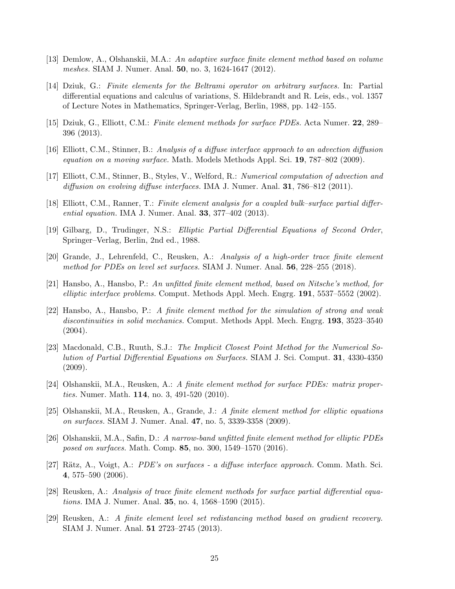- [13] Demlow, A., Olshanskii, M.A.: An adaptive surface finite element method based on volume meshes. SIAM J. Numer. Anal. **50**, no. 3, 1624-1647 (2012).
- [14] Dziuk, G.: Finite elements for the Beltrami operator on arbitrary surfaces. In: Partial differential equations and calculus of variations, S. Hildebrandt and R. Leis, eds., vol. 1357 of Lecture Notes in Mathematics, Springer-Verlag, Berlin, 1988, pp. 142–155.
- [15] Dziuk, G., Elliott, C.M.: Finite element methods for surface PDEs. Acta Numer. 22, 289– 396 (2013).
- [16] Elliott, C.M., Stinner, B.: Analysis of a diffuse interface approach to an advection diffusion equation on a moving surface. Math. Models Methods Appl. Sci. 19, 787–802 (2009).
- [17] Elliott, C.M., Stinner, B., Styles, V., Welford, R.: Numerical computation of advection and diffusion on evolving diffuse interfaces. IMA J. Numer. Anal. **31**, 786–812 (2011).
- [18] Elliott, C.M., Ranner, T.: Finite element analysis for a coupled bulk–surface partial differential equation. IMA J. Numer. Anal. 33, 377–402 (2013).
- [19] Gilbarg, D., Trudinger, N.S.: Elliptic Partial Differential Equations of Second Order, Springer–Verlag, Berlin, 2nd ed., 1988.
- [20] Grande, J., Lehrenfeld, C., Reusken, A.: Analysis of a high-order trace finite element method for PDEs on level set surfaces. SIAM J. Numer. Anal. **56**, 228–255 (2018).
- [21] Hansbo, A., Hansbo, P.: An unfitted finite element method, based on Nitsche's method, for elliptic interface problems. Comput. Methods Appl. Mech. Engrg. 191, 5537–5552 (2002).
- [22] Hansbo, A., Hansbo, P.: A finite element method for the simulation of strong and weak discontinuities in solid mechanics. Comput. Methods Appl. Mech. Engrg. 193, 3523–3540 (2004).
- [23] Macdonald, C.B., Ruuth, S.J.: The Implicit Closest Point Method for the Numerical Solution of Partial Differential Equations on Surfaces. SIAM J. Sci. Comput. 31, 4330-4350 (2009).
- [24] Olshanskii, M.A., Reusken, A.: A finite element method for surface PDEs: matrix properties. Numer. Math. 114, no. 3, 491-520 (2010).
- [25] Olshanskii, M.A., Reusken, A., Grande, J.: A finite element method for elliptic equations on surfaces. SIAM J. Numer. Anal. 47, no. 5, 3339-3358 (2009).
- [26] Olshanskii, M.A., Safin, D.: A narrow-band unfitted finite element method for elliptic PDEs posed on surfaces. Math. Comp. 85, no. 300, 1549–1570 (2016).
- [27] Rätz, A., Voigt, A.: PDE's on surfaces a diffuse interface approach. Comm. Math. Sci. 4, 575–590 (2006).
- [28] Reusken, A.: Analysis of trace finite element methods for surface partial differential equations. IMA J. Numer. Anal. 35, no. 4, 1568–1590 (2015).
- [29] Reusken, A.: A finite element level set redistancing method based on gradient recovery. SIAM J. Numer. Anal. 51 2723–2745 (2013).